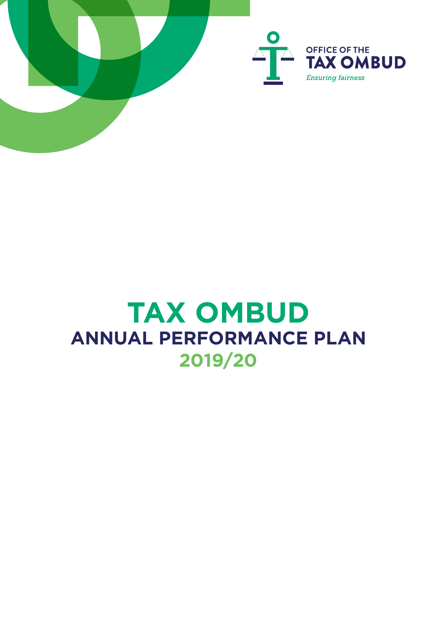

### **TAX OMBUD ANNUAL PERFORMANCE PLAN 2019/20**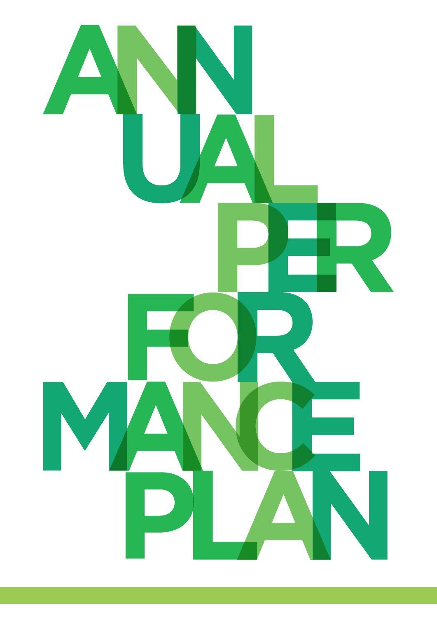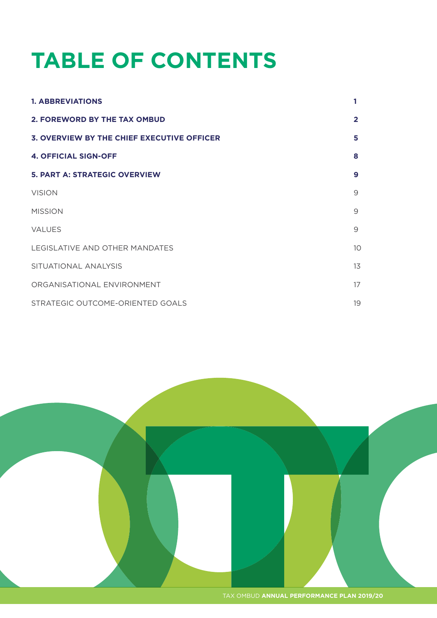## **TABLE OF CONTENTS**

| <b>1. ABBREVIATIONS</b>                    | 1              |
|--------------------------------------------|----------------|
| 2. FOREWORD BY THE TAX OMBUD               | $\overline{2}$ |
| 3. OVERVIEW BY THE CHIEF EXECUTIVE OFFICER | 5              |
| <b>4. OFFICIAL SIGN-OFF</b>                | 8              |
| <b>5. PART A: STRATEGIC OVERVIEW</b>       | 9              |
| <b>VISION</b>                              | 9              |
| <b>MISSION</b>                             | 9              |
| <b>VALUES</b>                              | 9              |
| LEGISLATIVE AND OTHER MANDATES             | 10             |
| SITUATIONAL ANALYSIS                       | 13             |
| ORGANISATIONAL ENVIRONMENT                 | 17             |
| STRATEGIC OUTCOME-ORIENTED GOALS           | 19             |

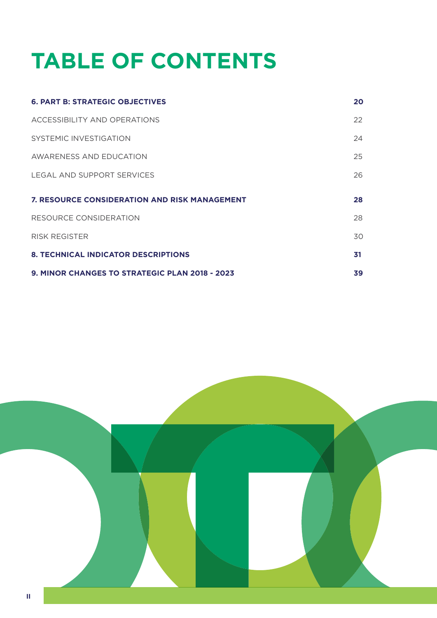# **TABLE OF CONTENTS**

| <b>6. PART B: STRATEGIC OBJECTIVES</b>               | 20 |
|------------------------------------------------------|----|
| ACCESSIBILITY AND OPERATIONS                         | 22 |
| SYSTEMIC INVESTIGATION                               | 24 |
| AWARENESS AND EDUCATION                              | 25 |
| <b>LEGAL AND SUPPORT SERVICES</b>                    | 26 |
| <b>7. RESOURCE CONSIDERATION AND RISK MANAGEMENT</b> | 28 |
|                                                      |    |
| RESOURCE CONSIDERATION                               | 28 |
| <b>RISK REGISTER</b>                                 | 30 |
| <b>8. TECHNICAL INDICATOR DESCRIPTIONS</b>           | 31 |
| 9. MINOR CHANGES TO STRATEGIC PLAN 2018 - 2023       | 39 |

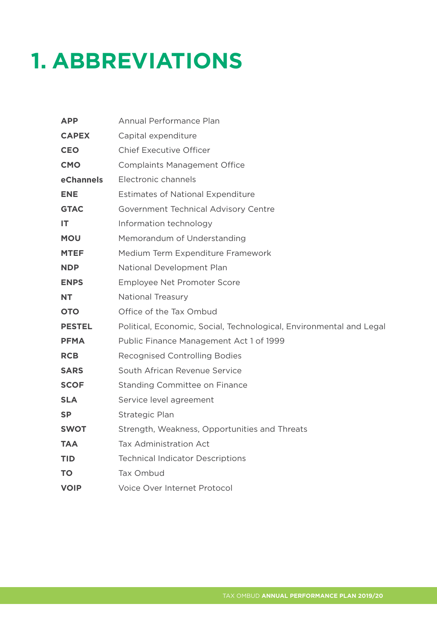### **1. ABBREVIATIONS**

| <b>APP</b>       | Annual Performance Plan                                             |
|------------------|---------------------------------------------------------------------|
| <b>CAPEX</b>     | Capital expenditure                                                 |
| <b>CEO</b>       | <b>Chief Executive Officer</b>                                      |
| <b>CMO</b>       | <b>Complaints Management Office</b>                                 |
| <b>eChannels</b> | Electronic channels                                                 |
| <b>ENE</b>       | <b>Estimates of National Expenditure</b>                            |
| <b>GTAC</b>      | Government Technical Advisory Centre                                |
| IT               | Information technology                                              |
| <b>MOU</b>       | Memorandum of Understanding                                         |
| <b>MTEF</b>      | Medium Term Expenditure Framework                                   |
| <b>NDP</b>       | National Development Plan                                           |
| <b>ENPS</b>      | Employee Net Promoter Score                                         |
| NT.              | <b>National Treasury</b>                                            |
| <b>OTO</b>       | Office of the Tax Ombud                                             |
| <b>PESTEL</b>    | Political, Economic, Social, Technological, Environmental and Legal |
| <b>PFMA</b>      | Public Finance Management Act 1 of 1999                             |
| <b>RCB</b>       | <b>Recognised Controlling Bodies</b>                                |
| <b>SARS</b>      | South African Revenue Service                                       |
| <b>SCOF</b>      | <b>Standing Committee on Finance</b>                                |
| <b>SLA</b>       | Service level agreement                                             |
| <b>SP</b>        | Strategic Plan                                                      |
| <b>SWOT</b>      | Strength, Weakness, Opportunities and Threats                       |
| <b>TAA</b>       | <b>Tax Administration Act</b>                                       |
| <b>TID</b>       | <b>Technical Indicator Descriptions</b>                             |
| <b>TO</b>        | <b>Tax Ombud</b>                                                    |
| <b>VOIP</b>      | Voice Over Internet Protocol                                        |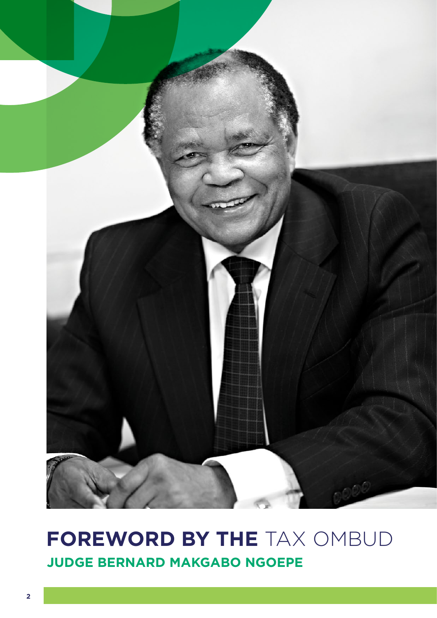

### **FOREWORD BY THE** TAX OMBUD **JUDGE BERNARD MAKGABO NGOEPE**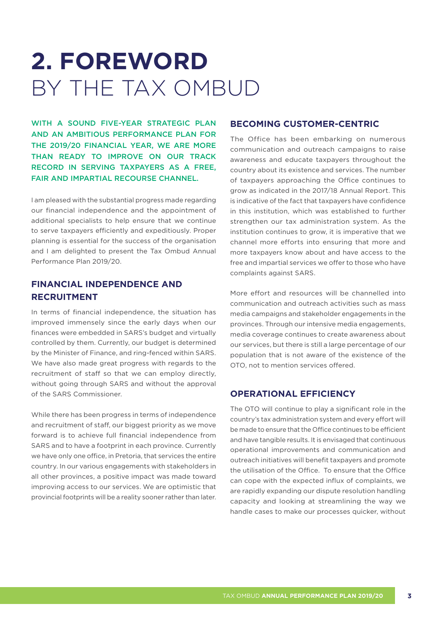## **2. FOREWORD** BY THE TAX OMBUD

WITH A SOUND FIVE-YEAR STRATEGIC PLAN AND AN AMBITIOUS PERFORMANCE PLAN FOR THE 2019/20 FINANCIAL YEAR, WE ARE MORE THAN READY TO IMPROVE ON OUR TRACK RECORD IN SERVING TAXPAYERS AS A FREE, FAIR AND IMPARTIAL RECOURSE CHANNEL.

I am pleased with the substantial progress made regarding our financial independence and the appointment of additional specialists to help ensure that we continue to serve taxpayers efficiently and expeditiously. Proper planning is essential for the success of the organisation and I am delighted to present the Tax Ombud Annual Performance Plan 2019/20.

#### **FINANCIAL INDEPENDENCE AND RECRUITMENT**

In terms of financial independence, the situation has improved immensely since the early days when our finances were embedded in SARS's budget and virtually controlled by them. Currently, our budget is determined by the Minister of Finance, and ring-fenced within SARS. We have also made great progress with regards to the recruitment of staff so that we can employ directly, without going through SARS and without the approval of the SARS Commissioner.

While there has been progress in terms of independence and recruitment of staff, our biggest priority as we move forward is to achieve full financial independence from SARS and to have a footprint in each province. Currently we have only one office, in Pretoria, that services the entire country. In our various engagements with stakeholders in all other provinces, a positive impact was made toward improving access to our services. We are optimistic that provincial footprints will be a reality sooner rather than later.

#### **BECOMING CUSTOMER-CENTRIC**

The Office has been embarking on numerous communication and outreach campaigns to raise awareness and educate taxpayers throughout the country about its existence and services. The number of taxpayers approaching the Office continues to grow as indicated in the 2017/18 Annual Report. This is indicative of the fact that taxpayers have confidence in this institution, which was established to further strengthen our tax administration system. As the institution continues to grow, it is imperative that we channel more efforts into ensuring that more and more taxpayers know about and have access to the free and impartial services we offer to those who have complaints against SARS.

More effort and resources will be channelled into communication and outreach activities such as mass media campaigns and stakeholder engagements in the provinces. Through our intensive media engagements, media coverage continues to create awareness about our services, but there is still a large percentage of our population that is not aware of the existence of the OTO, not to mention services offered.

#### **OPERATIONAL EFFICIENCY**

The OTO will continue to play a significant role in the country's tax administration system and every effort will be made to ensure that the Office continues to be efficient and have tangible results. It is envisaged that continuous operational improvements and communication and outreach initiatives will benefit taxpayers and promote the utilisation of the Office. To ensure that the Office can cope with the expected influx of complaints, we are rapidly expanding our dispute resolution handling capacity and looking at streamlining the way we handle cases to make our processes quicker, without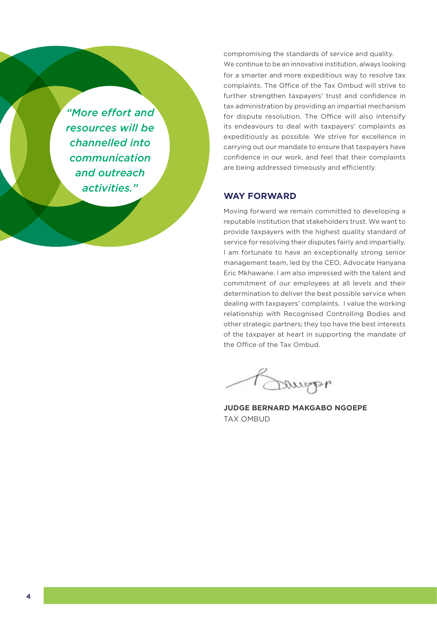*"More effort and resources will be channelled into communication and outreach activities."*

compromising the standards of service and quality. We continue to be an innovative institution, always looking for a smarter and more expeditious way to resolve tax complaints. The Office of the Tax Ombud will strive to further strengthen taxpayers' trust and confidence in tax administration by providing an impartial mechanism for dispute resolution. The Office will also intensify its endeavours to deal with taxpayers' complaints as expeditiously as possible. We strive for excellence in carrying out our mandate to ensure that taxpayers have confidence in our work, and feel that their complaints are being addressed timeously and efficiently.

#### **WAY FORWARD**

Moving forward we remain committed to developing a reputable institution that stakeholders trust. We want to provide taxpayers with the highest quality standard of service for resolving their disputes fairly and impartially. I am fortunate to have an exceptionally strong senior management team, led by the CEO, Advocate Hanyana Eric Mkhawane. I am also impressed with the talent and commitment of our employees at all levels and their determination to deliver the best possible service when dealing with taxpayers' complaints. I value the working relationship with Recognised Controlling Bodies and other strategic partners; they too have the best interests of the taxpayer at heart in supporting the mandate of the Office of the Tax Ombud.

Duypp

**JUDGE BERNARD MAKGABO NGOEPE**  TAX OMBUD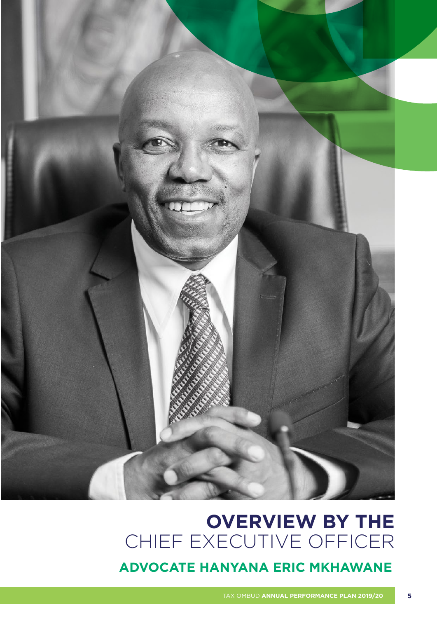

### **OVERVIEW BY THE**  CHIEF EXECUTIVE OFFICER

**ADVOCATE HANYANA ERIC MKHAWANE**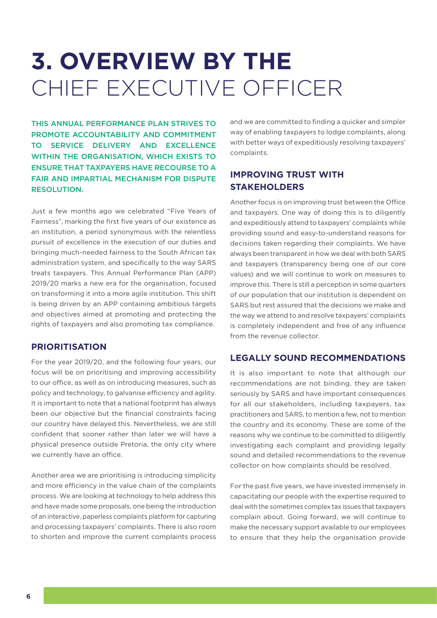## **3. OVERVIEW BY THE** CHIEF EXECUTIVE OFFICER

THIS ANNUAL PERFORMANCE PLAN STRIVES TO PROMOTE ACCOUNTABILITY AND COMMITMENT TO SERVICE DELIVERY AND EXCELLENCE WITHIN THE ORGANISATION, WHICH EXISTS TO ENSURE THAT TAXPAYERS HAVE RECOURSE TO A FAIR AND IMPARTIAL MECHANISM FOR DISPUTE RESOLUTION.

Just a few months ago we celebrated "Five Years of Fairness", marking the first five years of our existence as an institution, a period synonymous with the relentless pursuit of excellence in the execution of our duties and bringing much-needed fairness to the South African tax administration system, and specifically to the way SARS treats taxpayers. This Annual Performance Plan (APP) 2019/20 marks a new era for the organisation, focused on transforming it into a more agile institution. This shift is being driven by an APP containing ambitious targets and objectives aimed at promoting and protecting the rights of taxpayers and also promoting tax compliance.

#### **PRIORITISATION**

For the year 2019/20, and the following four years, our focus will be on prioritising and improving accessibility to our office, as well as on introducing measures, such as policy and technology, to galvanise efficiency and agility. It is important to note that a national footprint has always been our objective but the financial constraints facing our country have delayed this. Nevertheless, we are still confident that sooner rather than later we will have a physical presence outside Pretoria, the only city where we currently have an office.

Another area we are prioritising is introducing simplicity and more efficiency in the value chain of the complaints process. We are looking at technology to help address this and have made some proposals, one being the introduction of an interactive, paperless complaints platform for capturing and processing taxpayers' complaints. There is also room to shorten and improve the current complaints process and we are committed to finding a quicker and simpler way of enabling taxpayers to lodge complaints, along with better ways of expeditiously resolving taxpayers' complaints.

#### **IMPROVING TRUST WITH STAKEHOLDERS**

Another focus is on improving trust between the Office and taxpayers. One way of doing this is to diligently and expeditiously attend to taxpayers' complaints while providing sound and easy-to-understand reasons for decisions taken regarding their complaints. We have always been transparent in how we deal with both SARS and taxpayers (transparency being one of our core values) and we will continue to work on measures to improve this. There is still a perception in some quarters of our population that our institution is dependent on SARS but rest assured that the decisions we make and the way we attend to and resolve taxpayers' complaints is completely independent and free of any influence from the revenue collector.

#### **LEGALLY SOUND RECOMMENDATIONS**

It is also important to note that although our recommendations are not binding, they are taken seriously by SARS and have important consequences for all our stakeholders, including taxpayers, tax practitioners and SARS, to mention a few, not to mention the country and its economy. These are some of the reasons why we continue to be committed to diligently investigating each complaint and providing legally sound and detailed recommendations to the revenue collector on how complaints should be resolved.

For the past five years, we have invested immensely in capacitating our people with the expertise required to deal with the sometimes complex tax issues that taxpayers complain about. Going forward, we will continue to make the necessary support available to our employees to ensure that they help the organisation provide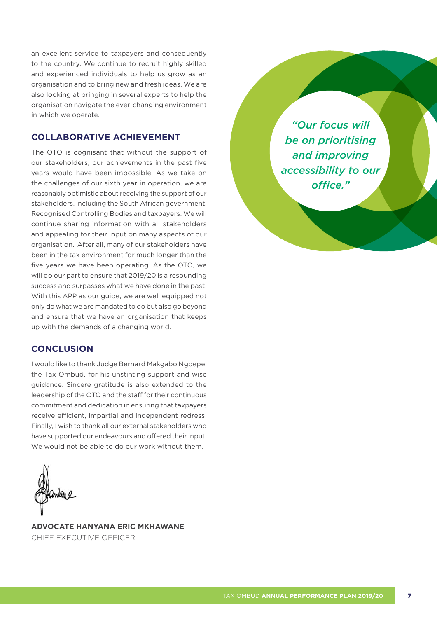an excellent service to taxpayers and consequently to the country. We continue to recruit highly skilled and experienced individuals to help us grow as an organisation and to bring new and fresh ideas. We are also looking at bringing in several experts to help the organisation navigate the ever-changing environment in which we operate.

#### **COLLABORATIVE ACHIEVEMENT**

The OTO is cognisant that without the support of our stakeholders, our achievements in the past five years would have been impossible. As we take on the challenges of our sixth year in operation, we are reasonably optimistic about receiving the support of our stakeholders, including the South African government, Recognised Controlling Bodies and taxpayers. We will continue sharing information with all stakeholders and appealing for their input on many aspects of our organisation. After all, many of our stakeholders have been in the tax environment for much longer than the five years we have been operating. As the OTO, we will do our part to ensure that 2019/20 is a resounding success and surpasses what we have done in the past. With this APP as our guide, we are well equipped not only do what we are mandated to do but also go beyond and ensure that we have an organisation that keeps up with the demands of a changing world.

#### **CONCLUSION**

I would like to thank Judge Bernard Makgabo Ngoepe, the Tax Ombud, for his unstinting support and wise guidance. Sincere gratitude is also extended to the leadership of the OTO and the staff for their continuous commitment and dedication in ensuring that taxpayers receive efficient, impartial and independent redress. Finally, I wish to thank all our external stakeholders who have supported our endeavours and offered their input. We would not be able to do our work without them.

**ADVOCATE HANYANA ERIC MKHAWANE** CHIEF EXECUTIVE OFFICER

*"Our focus will be on prioritising and improving accessibility to our office."*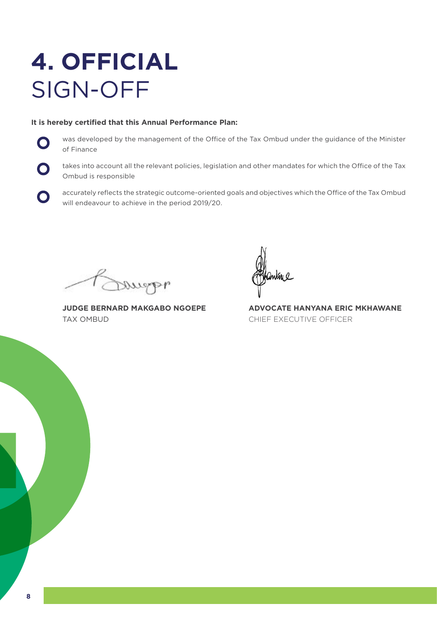## **4. OFFICIAL**  SIGN-OFF

#### **It is hereby certified that this Annual Performance Plan:**

- was developed by the management of the Office of the Tax Ombud under the guidance of the Minister  $\bigcap$ of Finance
	- takes into account all the relevant policies, legislation and other mandates for which the Office of the Tax Ombud is responsible
	- accurately reflects the strategic outcome-oriented goals and objectives which the Office of the Tax Ombud will endeavour to achieve in the period 2019/20.

 $\rightarrow$ r

**JUDGE BERNARD MAKGABO NGOEPE**  TAX OMBUD

**ADVOCATE HANYANA ERIC MKHAWANE** CHIEF EXECUTIVE OFFICER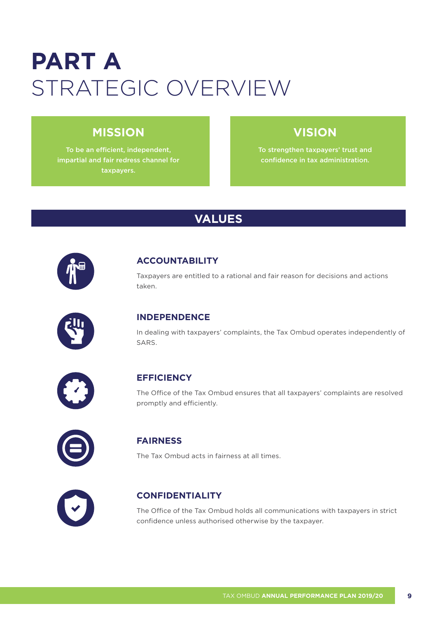## **PART A** STRATEGIC OVERVIEW

### **MISSION VISION**

To be an efficient, independent, impartial and fair redress channel for taxpayers.

To strengthen taxpayers' trust and confidence in tax administration.





#### **ACCOUNTABILITY**

Taxpayers are entitled to a rational and fair reason for decisions and actions taken.



#### **INDEPENDENCE**

In dealing with taxpayers' complaints, the Tax Ombud operates independently of SARS.



#### **EFFICIENCY**

The Office of the Tax Ombud ensures that all taxpayers' complaints are resolved promptly and efficiently.



#### **FAIRNESS**

The Tax Ombud acts in fairness at all times.

#### **CONFIDENTIALITY**

The Office of the Tax Ombud holds all communications with taxpayers in strict confidence unless authorised otherwise by the taxpayer.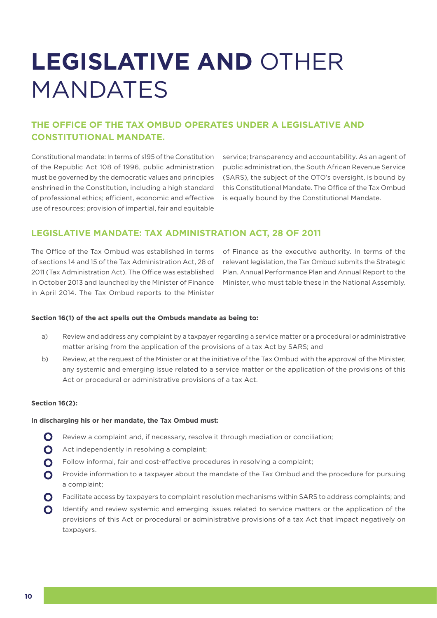## **LEGISLATIVE AND** OTHER MANDATES

### **THE OFFICE OF THE TAX OMBUD OPERATES UNDER A LEGISLATIVE AND CONSTITUTIONAL MANDATE.**

Constitutional mandate: In terms of s195 of the Constitution of the Republic Act 108 of 1996, public administration must be governed by the democratic values and principles enshrined in the Constitution, including a high standard of professional ethics; efficient, economic and effective use of resources; provision of impartial, fair and equitable

service; transparency and accountability. As an agent of public administration, the South African Revenue Service (SARS), the subject of the OTO's oversight, is bound by this Constitutional Mandate. The Office of the Tax Ombud is equally bound by the Constitutional Mandate.

#### **LEGISLATIVE MANDATE: TAX ADMINISTRATION ACT, 28 OF 2011**

The Office of the Tax Ombud was established in terms of sections 14 and 15 of the Tax Administration Act, 28 of 2011 (Tax Administration Act). The Office was established in October 2013 and launched by the Minister of Finance in April 2014. The Tax Ombud reports to the Minister

of Finance as the executive authority. In terms of the relevant legislation, the Tax Ombud submits the Strategic Plan, Annual Performance Plan and Annual Report to the Minister, who must table these in the National Assembly.

#### **Section 16(1) of the act spells out the Ombuds mandate as being to:**

- a) Review and address any complaint by a taxpayer regarding a service matter or a procedural or administrative matter arising from the application of the provisions of a tax Act by SARS; and
- b) Review, at the request of the Minister or at the initiative of the Tax Ombud with the approval of the Minister, any systemic and emerging issue related to a service matter or the application of the provisions of this Act or procedural or administrative provisions of a tax Act.

#### **Section 16(2):**

#### **In discharging his or her mandate, the Tax Ombud must:**

- $\bullet$  Review a complaint and, if necessary, resolve it through mediation or conciliation;
- $\bigcap$  Act independently in resolving a complaint;
- **O** Follow informal, fair and cost-effective procedures in resolving a complaint;
- **O** Provide information to a taxpayer about the mandate of the Tax Ombud and the procedure for pursuing a complaint;
- **O** Facilitate access by taxpayers to complaint resolution mechanisms within SARS to address complaints; and
- **O** Identify and review systemic and emerging issues related to service matters or the application of the provisions of this Act or procedural or administrative provisions of a tax Act that impact negatively on taxpayers.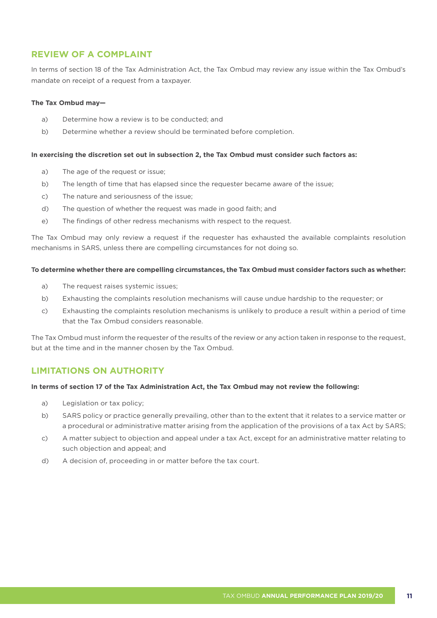#### **REVIEW OF A COMPLAINT**

In terms of section 18 of the Tax Administration Act, the Tax Ombud may review any issue within the Tax Ombud's mandate on receipt of a request from a taxpayer.

#### **The Tax Ombud may—**

- a) Determine how a review is to be conducted; and
- b) Determine whether a review should be terminated before completion.

#### **In exercising the discretion set out in subsection 2, the Tax Ombud must consider such factors as:**

- a) The age of the request or issue;
- b) The length of time that has elapsed since the requester became aware of the issue;
- c) The nature and seriousness of the issue;
- d) The question of whether the request was made in good faith; and
- e) The findings of other redress mechanisms with respect to the request.

The Tax Ombud may only review a request if the requester has exhausted the available complaints resolution mechanisms in SARS, unless there are compelling circumstances for not doing so.

#### **To determine whether there are compelling circumstances, the Tax Ombud must consider factors such as whether:**

- a) The request raises systemic issues;
- b) Exhausting the complaints resolution mechanisms will cause undue hardship to the requester; or
- c) Exhausting the complaints resolution mechanisms is unlikely to produce a result within a period of time that the Tax Ombud considers reasonable.

The Tax Ombud must inform the requester of the results of the review or any action taken in response to the request, but at the time and in the manner chosen by the Tax Ombud.

#### **LIMITATIONS ON AUTHORITY**

#### **In terms of section 17 of the Tax Administration Act, the Tax Ombud may not review the following:**

- a) Legislation or tax policy;
- b) SARS policy or practice generally prevailing, other than to the extent that it relates to a service matter or a procedural or administrative matter arising from the application of the provisions of a tax Act by SARS;
- c) A matter subject to objection and appeal under a tax Act, except for an administrative matter relating to such objection and appeal; and
- d) A decision of, proceeding in or matter before the tax court.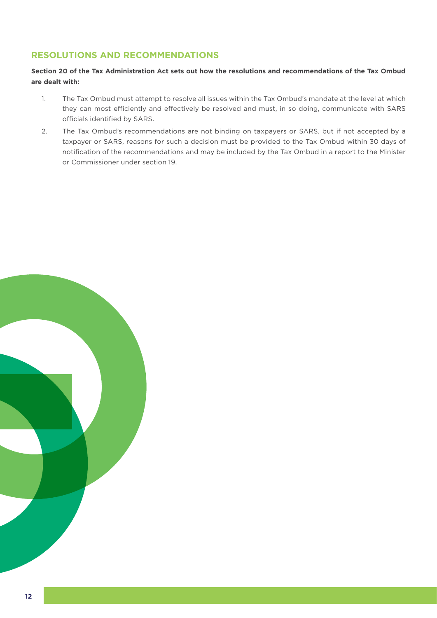#### **RESOLUTIONS AND RECOMMENDATIONS**

#### **Section 20 of the Tax Administration Act sets out how the resolutions and recommendations of the Tax Ombud are dealt with:**

- 1. The Tax Ombud must attempt to resolve all issues within the Tax Ombud's mandate at the level at which they can most efficiently and effectively be resolved and must, in so doing, communicate with SARS officials identified by SARS.
- 2. The Tax Ombud's recommendations are not binding on taxpayers or SARS, but if not accepted by a taxpayer or SARS, reasons for such a decision must be provided to the Tax Ombud within 30 days of notification of the recommendations and may be included by the Tax Ombud in a report to the Minister or Commissioner under section 19.

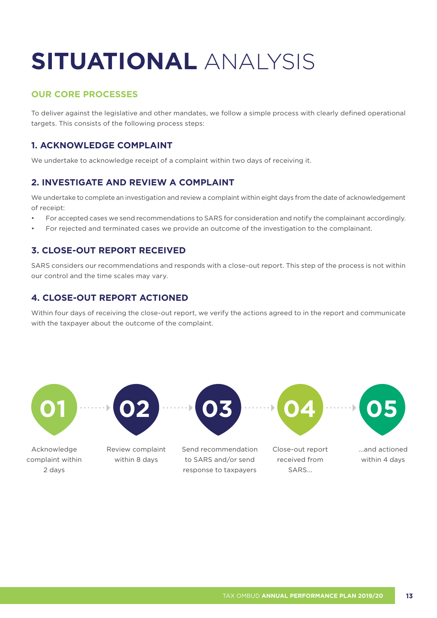# **SITUATIONAL** ANALYSIS

#### **OUR CORE PROCESSES**

To deliver against the legislative and other mandates, we follow a simple process with clearly defined operational targets. This consists of the following process steps:

#### **1. ACKNOWLEDGE COMPLAINT**

We undertake to acknowledge receipt of a complaint within two days of receiving it.

#### **2. INVESTIGATE AND REVIEW A COMPLAINT**

We undertake to complete an investigation and review a complaint within eight days from the date of acknowledgement of receipt:

- For accepted cases we send recommendations to SARS for consideration and notify the complainant accordingly.
- For rejected and terminated cases we provide an outcome of the investigation to the complainant.

#### **3. CLOSE-OUT REPORT RECEIVED**

SARS considers our recommendations and responds with a close-out report. This step of the process is not within our control and the time scales may vary.

#### **4. CLOSE-OUT REPORT ACTIONED**

Within four days of receiving the close-out report, we verify the actions agreed to in the report and communicate with the taxpayer about the outcome of the complaint.



Acknowledge complaint within 2 days



Review complaint within 8 days



Send recommendation to SARS and/or send response to taxpayers



Close-out report received from SARS...



...and actioned within 4 days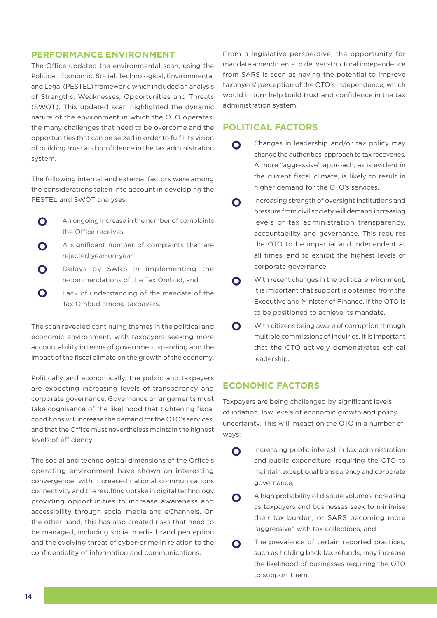#### **PERFORMANCE ENVIRONMENT**

The Office updated the environmental scan, using the Political, Economic, Social, Technological, Environmental and Legal (PESTEL) framework, which included an analysis of Strengths, Weaknesses, Opportunities and Threats (SWOT). This updated scan highlighted the dynamic nature of the environment in which the OTO operates, the many challenges that need to be overcome and the opportunities that can be seized in order to fulfil its vision of building trust and confidence in the tax administration system.

The following internal and external factors were among the considerations taken into account in developing the PESTEL and SWOT analyses:

- **O** An ongoing increase in the number of complaints the Office receives,
- A significant number of complaints that are rejected year-on-year,
- **O** Delays by SARS in implementing the recommendations of the Tax Ombud, and
- $\bigcirc$  Lack of understanding of the mandate of the Tax Ombud among taxpayers.

The scan revealed continuing themes in the political and economic environment, with taxpayers seeking more accountability in terms of government spending and the impact of the fiscal climate on the growth of the economy.

Politically and economically, the public and taxpayers are expecting increasing levels of transparency and corporate governance. Governance arrangements must take cognisance of the likelihood that tightening fiscal conditions will increase the demand for the OTO's services, and that the Office must nevertheless maintain the highest levels of efficiency.

The social and technological dimensions of the Office's operating environment have shown an interesting convergence, with increased national communications connectivity and the resulting uptake in digital technology providing opportunities to increase awareness and accessibility through social media and eChannels. On the other hand, this has also created risks that need to be managed, including social media brand perception and the evolving threat of cyber-crime in relation to the confidentiality of information and communications.

From a legislative perspective, the opportunity for mandate amendments to deliver structural independence from SARS is seen as having the potential to improve taxpayers' perception of the OTO's independence, which would in turn help build trust and confidence in the tax administration system.

#### **POLITICAL FACTORS**

- **O** Changes in leadership and/or tax policy may change the authorities' approach to tax recoveries. A more "aggressive" approach, as is evident in the current fiscal climate, is likely to result in higher demand for the OTO's services.
- **O** Increasing strength of oversight institutions and pressure from civil society will demand increasing levels of tax administration transparency, accountability and governance. This requires the OTO to be impartial and independent at all times, and to exhibit the highest levels of corporate governance.
- **O** With recent changes in the political environment, it is important that support is obtained from the Executive and Minister of Finance, if the OTO is to be positioned to achieve its mandate.
- **O** With citizens being aware of corruption through multiple commissions of inquiries, it is important that the OTO actively demonstrates ethical leadership.

#### **ECONOMIC FACTORS**

Taxpayers are being challenged by significant levels of inflation, low levels of economic growth and policy uncertainty. This will impact on the OTO in a number of ways:

- **O** Increasing public interest in tax administration and public expenditure, requiring the OTO to maintain exceptional transparency and corporate governance,
- A high probability of dispute volumes increasing as taxpayers and businesses seek to minimise their tax burden, or SARS becoming more "aggressive" with tax collections, and
- **O** The prevalence of certain reported practices, such as holding back tax refunds, may increase the likelihood of businesses requiring the OTO to support them.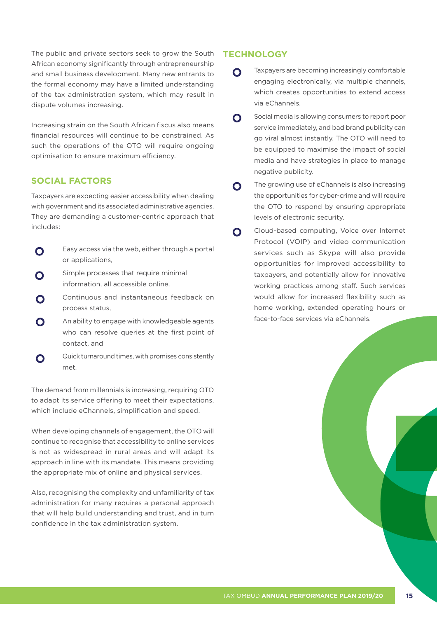The public and private sectors seek to grow the South African economy significantly through entrepreneurship and small business development. Many new entrants to the formal economy may have a limited understanding of the tax administration system, which may result in dispute volumes increasing.

Increasing strain on the South African fiscus also means financial resources will continue to be constrained. As such the operations of the OTO will require ongoing optimisation to ensure maximum efficiency.

#### **SOCIAL FACTORS**

Taxpayers are expecting easier accessibility when dealing with government and its associated administrative agencies. They are demanding a customer-centric approach that includes:

- **O** Easy access via the web, either through a portal or applications,
- Simple processes that require minimal information, all accessible online,
- Continuous and instantaneous feedback on process status,
- $\bigcap$  An ability to engage with knowledgeable agents who can resolve queries at the first point of contact, and
- **Q** Quick turnaround times, with promises consistently met.

The demand from millennials is increasing, requiring OTO to adapt its service offering to meet their expectations, which include eChannels, simplification and speed.

When developing channels of engagement, the OTO will continue to recognise that accessibility to online services is not as widespread in rural areas and will adapt its approach in line with its mandate. This means providing the appropriate mix of online and physical services.

Also, recognising the complexity and unfamiliarity of tax administration for many requires a personal approach that will help build understanding and trust, and in turn confidence in the tax administration system.

#### **TECHNOLOGY**

- **O** Taxpayers are becoming increasingly comfortable engaging electronically, via multiple channels, which creates opportunities to extend access via eChannels.
- **O** Social media is allowing consumers to report poor service immediately, and bad brand publicity can go viral almost instantly. The OTO will need to be equipped to maximise the impact of social media and have strategies in place to manage negative publicity.
- **O** The growing use of eChannels is also increasing the opportunities for cyber-crime and will require the OTO to respond by ensuring appropriate levels of electronic security.
- **O** Cloud-based computing, Voice over Internet Protocol (VOIP) and video communication services such as Skype will also provide opportunities for improved accessibility to taxpayers, and potentially allow for innovative working practices among staff. Such services would allow for increased flexibility such as home working, extended operating hours or face-to-face services via eChannels.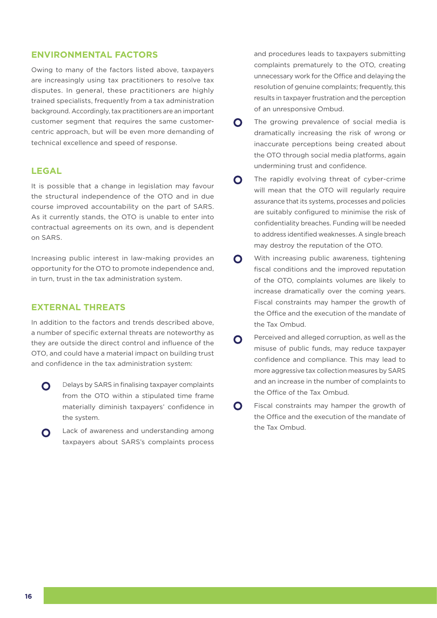#### **ENVIRONMENTAL FACTORS**

Owing to many of the factors listed above, taxpayers are increasingly using tax practitioners to resolve tax disputes. In general, these practitioners are highly trained specialists, frequently from a tax administration background. Accordingly, tax practitioners are an important customer segment that requires the same customercentric approach, but will be even more demanding of technical excellence and speed of response.

#### **LEGAL**

It is possible that a change in legislation may favour the structural independence of the OTO and in due course improved accountability on the part of SARS. As it currently stands, the OTO is unable to enter into contractual agreements on its own, and is dependent on SARS.

Increasing public interest in law-making provides an opportunity for the OTO to promote independence and, in turn, trust in the tax administration system.

#### **EXTERNAL THREATS**

In addition to the factors and trends described above, a number of specific external threats are noteworthy as they are outside the direct control and influence of the OTO, and could have a material impact on building trust and confidence in the tax administration system:

- **O** Delays by SARS in finalising taxpayer complaints from the OTO within a stipulated time frame materially diminish taxpayers' confidence in the system.
- **O** Lack of awareness and understanding among taxpayers about SARS's complaints process

and procedures leads to taxpayers submitting complaints prematurely to the OTO, creating unnecessary work for the Office and delaying the resolution of genuine complaints; frequently, this results in taxpayer frustration and the perception of an unresponsive Ombud.

- $\bigcap$  The growing prevalence of social media is dramatically increasing the risk of wrong or inaccurate perceptions being created about the OTO through social media platforms, again undermining trust and confidence.
- $\bigcap$  The rapidly evolving threat of cyber-crime will mean that the OTO will regularly require assurance that its systems, processes and policies are suitably configured to minimise the risk of confidentiality breaches. Funding will be needed to address identified weaknesses. A single breach may destroy the reputation of the OTO.
- **O** With increasing public awareness, tightening fiscal conditions and the improved reputation of the OTO, complaints volumes are likely to increase dramatically over the coming years. Fiscal constraints may hamper the growth of the Office and the execution of the mandate of the Tax Ombud.
- **O** Perceived and alleged corruption, as well as the misuse of public funds, may reduce taxpayer confidence and compliance. This may lead to more aggressive tax collection measures by SARS and an increase in the number of complaints to the Office of the Tax Ombud.
- **O** Fiscal constraints may hamper the growth of the Office and the execution of the mandate of the Tax Ombud.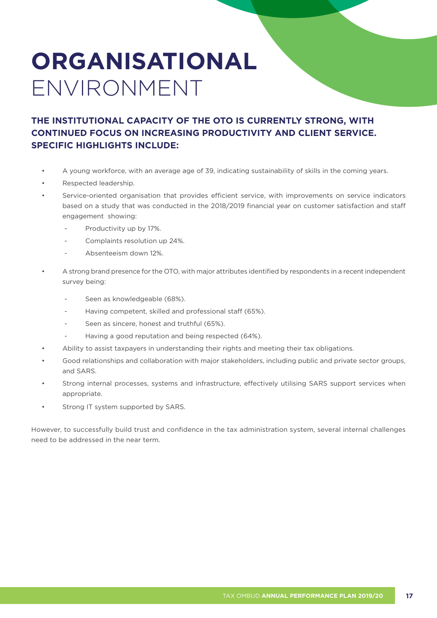## **ORGANISATIONAL**  ENVIRONMENT

### **THE INSTITUTIONAL CAPACITY OF THE OTO IS CURRENTLY STRONG, WITH CONTINUED FOCUS ON INCREASING PRODUCTIVITY AND CLIENT SERVICE. SPECIFIC HIGHLIGHTS INCLUDE:**

- A young workforce, with an average age of 39, indicating sustainability of skills in the coming years.
- Respected leadership.
- Service-oriented organisation that provides efficient service, with improvements on service indicators based on a study that was conducted in the 2018/2019 financial year on customer satisfaction and staff engagement showing:
	- Productivity up by 17%.
	- Complaints resolution up 24%.
	- Absenteeism down 12%.
- A strong brand presence for the OTO, with major attributes identified by respondents in a recent independent survey being:
	- Seen as knowledgeable (68%).
	- Having competent, skilled and professional staff (65%).
	- Seen as sincere, honest and truthful (65%).
	- Having a good reputation and being respected (64%).
- Ability to assist taxpayers in understanding their rights and meeting their tax obligations.
- Good relationships and collaboration with major stakeholders, including public and private sector groups, and SARS.
- Strong internal processes, systems and infrastructure, effectively utilising SARS support services when appropriate.
- Strong IT system supported by SARS.

However, to successfully build trust and confidence in the tax administration system, several internal challenges need to be addressed in the near term.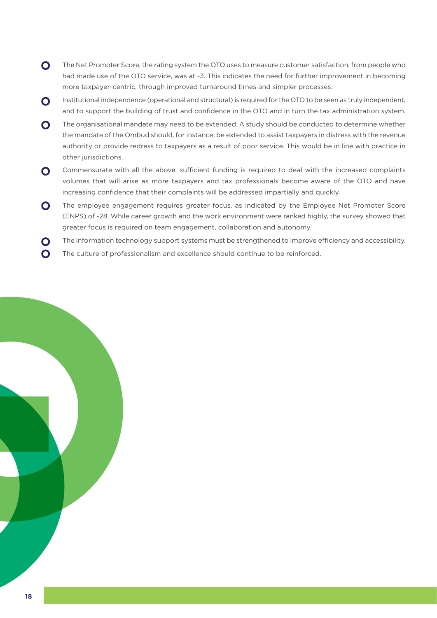- **O** The Net Promoter Score, the rating system the OTO uses to measure customer satisfaction, from people who had made use of the OTO service, was at -3. This indicates the need for further improvement in becoming more taxpayer-centric, through improved turnaround times and simpler processes.
- Institutional independence (operational and structural) is required for the OTO to be seen as truly independent, and to support the building of trust and confidence in the OTO and in turn the tax administration system.
- **O** The organisational mandate may need to be extended. A study should be conducted to determine whether the mandate of the Ombud should, for instance, be extended to assist taxpayers in distress with the revenue authority or provide redress to taxpayers as a result of poor service. This would be in line with practice in other jurisdictions.
- **O** Commensurate with all the above, sufficient funding is required to deal with the increased complaints volumes that will arise as more taxpayers and tax professionals become aware of the OTO and have increasing confidence that their complaints will be addressed impartially and quickly.
- **O** The employee engagement requires greater focus, as indicated by the Employee Net Promoter Score (ENPS) of -28. While career growth and the work environment were ranked highly, the survey showed that greater focus is required on team engagement, collaboration and autonomy.
- **O** The information technology support systems must be strengthened to improve efficiency and accessibility.
- $\Omega$  The culture of professionalism and excellence should continue to be reinforced.

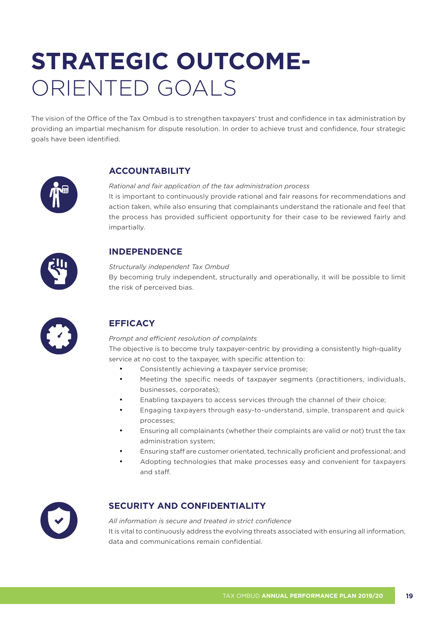## **STRATEGIC OUTCOME-**ORIENTED GOALS

The vision of the Office of the Tax Ombud is to strengthen taxpayers' trust and confidence in tax administration by providing an impartial mechanism for dispute resolution. In order to achieve trust and confidence, four strategic goals have been identified.



#### **ACCOUNTABILITY**

*Rational and fair application of the tax administration process* It is important to continuously provide rational and fair reasons for recommendations and action taken, while also ensuring that complainants understand the rationale and feel that the process has provided sufficient opportunity for their case to be reviewed fairly and impartially.



#### **INDEPENDENCE**

#### *Structurally independent Tax Ombud*

By becoming truly independent, structurally and operationally, it will be possible to limit the risk of perceived bias.



### **EFFICACY**

#### *Prompt and efficient resolution of complaints*

The objective is to become truly taxpayer-centric by providing a consistently high-quality service at no cost to the taxpayer, with specific attention to:

- Consistently achieving a taxpayer service promise;
- Meeting the specific needs of taxpayer segments (practitioners, individuals, businesses, corporates);
- Enabling taxpayers to access services through the channel of their choice;
- Engaging taxpayers through easy-to-understand, simple, transparent and quick processes;
- Ensuring all complainants (whether their complaints are valid or not) trust the tax administration system;
- Ensuring staff are customer orientated, technically proficient and professional; and
- Adopting technologies that make processes easy and convenient for taxpayers and staff.

#### **SECURITY AND CONFIDENTIALITY**

*All information is secure and treated in strict confidence* It is vital to continuously address the evolving threats associated with ensuring all information, data and communications remain confidential.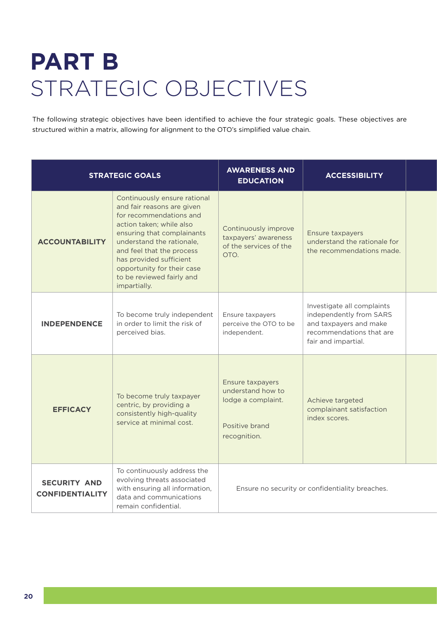## **PART B** STRATEGIC OBJECTIVES

The following strategic objectives have been identified to achieve the four strategic goals. These objectives are structured within a matrix, allowing for alignment to the OTO's simplified value chain.

|                                               | <b>STRATEGIC GOALS</b>                                                                                                                                                                                                                                                                                          | <b>AWARENESS AND</b><br><b>EDUCATION</b>                                                      | <b>ACCESSIBILITY</b>                                                                                                               |  |
|-----------------------------------------------|-----------------------------------------------------------------------------------------------------------------------------------------------------------------------------------------------------------------------------------------------------------------------------------------------------------------|-----------------------------------------------------------------------------------------------|------------------------------------------------------------------------------------------------------------------------------------|--|
| <b>ACCOUNTABILITY</b>                         | Continuously ensure rational<br>and fair reasons are given<br>for recommendations and<br>action taken; while also<br>ensuring that complainants<br>understand the rationale,<br>and feel that the process<br>has provided sufficient<br>opportunity for their case<br>to be reviewed fairly and<br>impartially. | Continuously improve<br>taxpayers' awareness<br>of the services of the<br>OTO.                | Ensure taxpayers<br>understand the rationale for<br>the recommendations made.                                                      |  |
| <b>INDEPENDENCE</b>                           | To become truly independent<br>in order to limit the risk of<br>perceived bias.                                                                                                                                                                                                                                 | Ensure taxpayers<br>perceive the OTO to be<br>independent.                                    | Investigate all complaints<br>independently from SARS<br>and taxpayers and make<br>recommendations that are<br>fair and impartial. |  |
| <b>EFFICACY</b>                               | To become truly taxpayer<br>centric, by providing a<br>consistently high-quality<br>service at minimal cost.                                                                                                                                                                                                    | Ensure taxpayers<br>understand how to<br>lodge a complaint.<br>Positive brand<br>recognition. | Achieve targeted<br>complainant satisfaction<br>index scores.                                                                      |  |
| <b>SECURITY AND</b><br><b>CONFIDENTIALITY</b> | To continuously address the<br>evolving threats associated<br>with ensuring all information,<br>data and communications<br>remain confidential.                                                                                                                                                                 |                                                                                               | Ensure no security or confidentiality breaches.                                                                                    |  |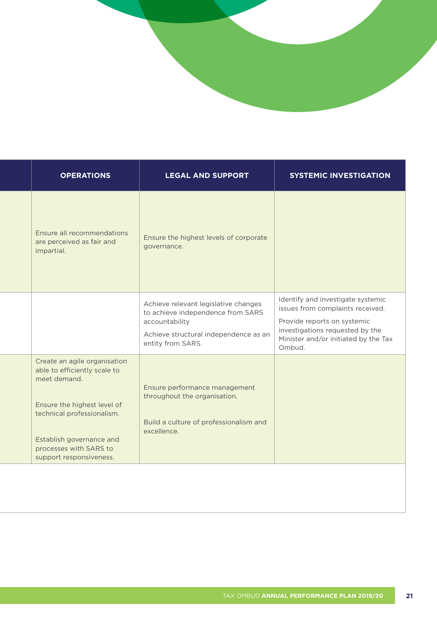| <b>OPERATIONS</b>                                                                                                                                                                                                          | <b>LEGAL AND SUPPORT</b>                                                                                                                                  | <b>SYSTEMIC INVESTIGATION</b>                                                                                                                                                             |
|----------------------------------------------------------------------------------------------------------------------------------------------------------------------------------------------------------------------------|-----------------------------------------------------------------------------------------------------------------------------------------------------------|-------------------------------------------------------------------------------------------------------------------------------------------------------------------------------------------|
| Ensure all recommendations<br>are perceived as fair and<br>impartial.                                                                                                                                                      | Ensure the highest levels of corporate<br>governance.                                                                                                     |                                                                                                                                                                                           |
|                                                                                                                                                                                                                            | Achieve relevant legislative changes<br>to achieve independence from SARS<br>accountability<br>Achieve structural independence as an<br>entity from SARS. | Identify and investigate systemic<br>issues from complaints received.<br>Provide reports on systemic<br>investigations requested by the<br>Minister and/or initiated by the Tax<br>Ombud. |
| Create an agile organisation<br>able to efficiently scale to<br>meet demand.<br>Ensure the highest level of<br>technical professionalism.<br>Establish governance and<br>processes with SARS to<br>support responsiveness. | Ensure performance management<br>throughout the organisation.<br>Build a culture of professionalism and<br>excellence.                                    |                                                                                                                                                                                           |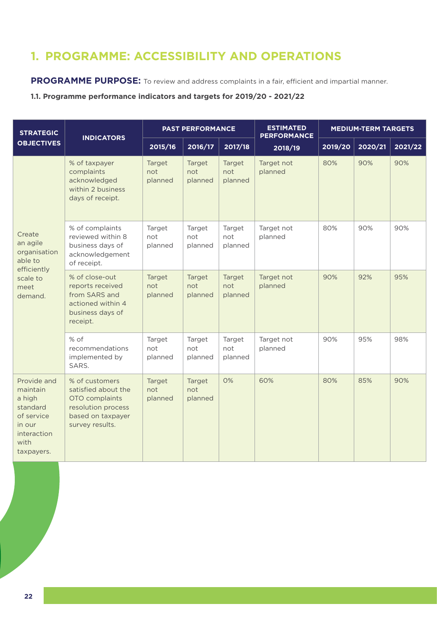### **1. PROGRAMME: ACCESSIBILITY AND OPERATIONS**

**PROGRAMME PURPOSE:** To review and address complaints in a fair, efficient and impartial manner.

**1.1. Programme performance indicators and targets for 2019/20 - 2021/22**

| <b>STRATEGIC</b><br><b>OBJECTIVES</b>                                                                      |                                                                                                                       |                          | <b>PAST PERFORMANCE</b>  |                          | <b>ESTIMATED</b><br><b>PERFORMANCE</b> |         | <b>MEDIUM-TERM TARGETS</b> |         |
|------------------------------------------------------------------------------------------------------------|-----------------------------------------------------------------------------------------------------------------------|--------------------------|--------------------------|--------------------------|----------------------------------------|---------|----------------------------|---------|
|                                                                                                            | <b>INDICATORS</b>                                                                                                     | 2015/16                  | 2016/17                  | 2017/18                  | 2018/19                                | 2019/20 | 2020/21                    | 2021/22 |
|                                                                                                            | % of taxpayer<br>complaints<br>acknowledged<br>within 2 business<br>days of receipt.                                  | Target<br>not<br>planned | Target<br>not<br>planned | Target<br>not<br>planned | Target not<br>planned                  | 80%     | 90%                        | 90%     |
| Create<br>an agile<br>organisation<br>able to                                                              | % of complaints<br>reviewed within 8<br>business days of<br>acknowledgement<br>of receipt.                            | Target<br>not<br>planned | Target<br>not<br>planned | Target<br>not<br>planned | Target not<br>planned                  | 80%     | 90%                        | 90%     |
| efficiently<br>scale to<br>meet<br>demand.                                                                 | % of close-out<br>reports received<br>from SARS and<br>actioned within 4<br>business days of<br>receipt.              | Target<br>not<br>planned | Target<br>not<br>planned | Target<br>not<br>planned | Target not<br>planned                  | 90%     | 92%                        | 95%     |
|                                                                                                            | % of<br>recommendations<br>implemented by<br>SARS.                                                                    | Target<br>not<br>planned | Target<br>not<br>planned | Target<br>not<br>planned | Target not<br>planned                  | 90%     | 95%                        | 98%     |
| Provide and<br>maintain<br>a high<br>standard<br>of service<br>in our<br>interaction<br>with<br>taxpayers. | % of customers<br>satisfied about the<br>OTO complaints<br>resolution process<br>based on taxpayer<br>survey results. | Target<br>not<br>planned | Target<br>not<br>planned | 0%                       | 60%                                    | 80%     | 85%                        | 90%     |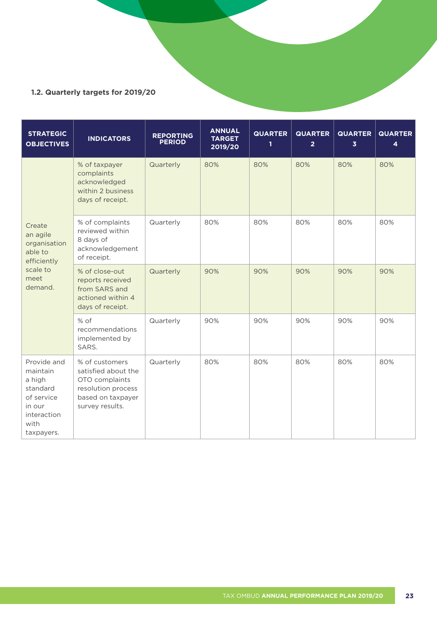| <b>STRATEGIC</b><br><b>OBJECTIVES</b>                                                                      | <b>INDICATORS</b>                                                                                                     | REPORTING<br>PERIOD | <b>ANNUAL</b><br><b>TARGET</b><br>2019/20 | <b>QUARTER</b><br>1 | <b>QUARTER</b><br>2 <sup>1</sup> | <b>QUARTER</b><br>$\overline{3}$ | <b>QUARTER</b><br>4 |
|------------------------------------------------------------------------------------------------------------|-----------------------------------------------------------------------------------------------------------------------|---------------------|-------------------------------------------|---------------------|----------------------------------|----------------------------------|---------------------|
| Create<br>an agile<br>organisation<br>able to<br>efficiently<br>scale to<br>meet<br>demand.                | % of taxpayer<br>complaints<br>acknowledged<br>within 2 business<br>days of receipt.                                  | Quarterly           | 80%                                       | 80%                 | 80%                              | 80%                              | 80%                 |
|                                                                                                            | % of complaints<br>reviewed within<br>8 days of<br>acknowledgement<br>of receipt.                                     | Quarterly           | 80%                                       | 80%                 | 80%                              | 80%                              | 80%                 |
|                                                                                                            | % of close-out<br>reports received<br>from SARS and<br>actioned within 4<br>days of receipt.                          | Quarterly           | 90%                                       | 90%                 | 90%                              | 90%                              | 90%                 |
|                                                                                                            | % of<br>recommendations<br>implemented by<br>SARS.                                                                    | Quarterly           | 90%                                       | 90%                 | 90%                              | 90%                              | 90%                 |
| Provide and<br>maintain<br>a high<br>standard<br>of service<br>in our<br>interaction<br>with<br>taxpayers. | % of customers<br>satisfied about the<br>OTO complaints<br>resolution process<br>based on taxpayer<br>survey results. | Quarterly           | 80%                                       | 80%                 | 80%                              | 80%                              | 80%                 |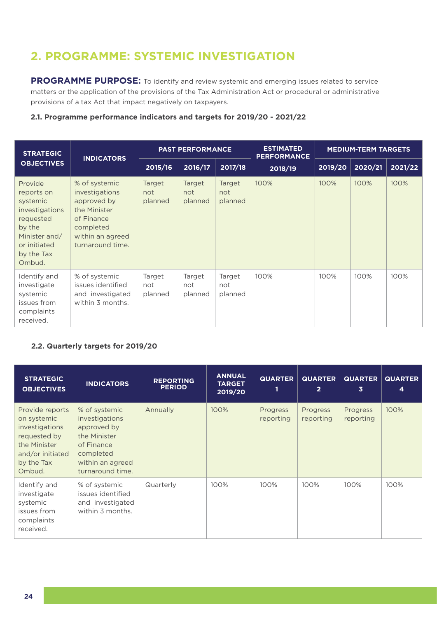### **2. PROGRAMME: SYSTEMIC INVESTIGATION**

PROGRAMME PURPOSE: To identify and review systemic and emerging issues related to service matters or the application of the provisions of the Tax Administration Act or procedural or administrative provisions of a tax Act that impact negatively on taxpayers.

#### **2.1. Programme performance indicators and targets for 2019/20 - 2021/22**

| <b>STRATEGIC</b><br><b>OBJECTIVES</b>                                                                                               | <b>INDICATORS</b>                                                                                                                 | <b>PAST PERFORMANCE</b>         |                          |                                 | <b>ESTIMATED</b><br><b>PERFORMANCE</b> | <b>MEDIUM-TERM TARGETS</b> |         |         |
|-------------------------------------------------------------------------------------------------------------------------------------|-----------------------------------------------------------------------------------------------------------------------------------|---------------------------------|--------------------------|---------------------------------|----------------------------------------|----------------------------|---------|---------|
|                                                                                                                                     |                                                                                                                                   | 2015/16                         | 2016/17                  | 2017/18                         | 2018/19                                | 2019/20                    | 2020/21 | 2021/22 |
| Provide<br>reports on<br>systemic<br>investigations<br>requested<br>by the<br>Minister and/<br>or initiated<br>by the Tax<br>Ombud. | % of systemic<br>investigations<br>approved by<br>the Minister<br>of Finance<br>completed<br>within an agreed<br>turnaround time. | <b>Target</b><br>not<br>planned | Target<br>not<br>planned | <b>Target</b><br>not<br>planned | 100%                                   | 100%                       | 100%    | 100%    |
| Identify and<br>investigate<br>systemic<br>issues from<br>complaints<br>received.                                                   | % of systemic<br>issues identified<br>and investigated<br>within 3 months.                                                        | Target<br>not<br>planned        | Target<br>not<br>planned | Target<br>not<br>planned        | 100%                                   | 100%                       | 100%    | 100%    |

| <b>STRATEGIC</b><br><b>OBJECTIVES</b>                                                                                        | <b>INDICATORS</b>                                                                                                                 | <b>REPORTING</b><br><b>PERIOD</b> | <b>ANNUAL</b><br><b>TARGET</b><br>2019/20 | <b>QUARTER</b><br>1   | <b>QUARTER</b><br>$\overline{2}$ | <b>QUARTER</b><br>$\overline{\mathbf{3}}$ | <b>QUARTER</b><br>4 |
|------------------------------------------------------------------------------------------------------------------------------|-----------------------------------------------------------------------------------------------------------------------------------|-----------------------------------|-------------------------------------------|-----------------------|----------------------------------|-------------------------------------------|---------------------|
| Provide reports<br>on systemic<br>investigations<br>requested by<br>the Minister<br>and/or initiated<br>by the Tax<br>Ombud. | % of systemic<br>investigations<br>approved by<br>the Minister<br>of Finance<br>completed<br>within an agreed<br>turnaround time. | Annually                          | 100%                                      | Progress<br>reporting | <b>Progress</b><br>reporting     | Progress<br>reporting                     | 100%                |
| Identify and<br>investigate<br>systemic<br>issues from<br>complaints<br>received.                                            | % of systemic<br>issues identified<br>and investigated<br>within 3 months.                                                        | Quarterly                         | 100%                                      | 100%                  | 100%                             | 100%                                      | 100%                |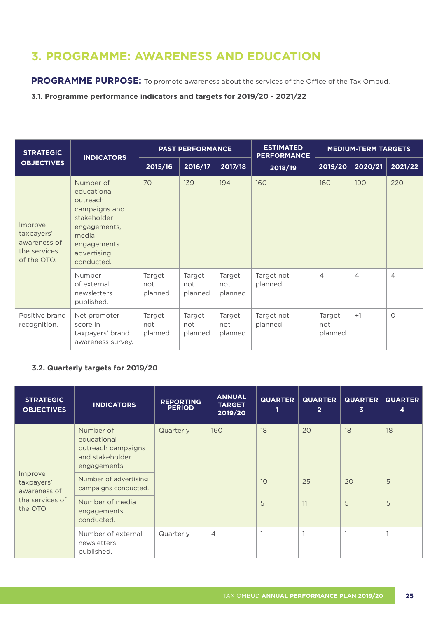### **3. PROGRAMME: AWARENESS AND EDUCATION**

PROGRAMME PURPOSE: To promote awareness about the services of the Office of the Tax Ombud.

**3.1. Programme performance indicators and targets for 2019/20 - 2021/22**

| <b>STRATEGIC</b>                                                     | <b>INDICATORS</b>                                                                                                                         | <b>PAST PERFORMANCE</b>  |                          |                          | <b>ESTIMATED</b><br><b>PERFORMANCE</b> | <b>MEDIUM-TERM TARGETS</b> |                |                |
|----------------------------------------------------------------------|-------------------------------------------------------------------------------------------------------------------------------------------|--------------------------|--------------------------|--------------------------|----------------------------------------|----------------------------|----------------|----------------|
| <b>OBJECTIVES</b>                                                    |                                                                                                                                           | 2015/16                  | 2016/17                  | 2017/18                  | 2018/19                                | 2019/20                    | 2020/21        | 2021/22        |
| Improve<br>taxpayers'<br>awareness of<br>the services<br>of the OTO. | Number of<br>educational<br>outreach<br>campaigns and<br>stakeholder<br>engagements,<br>media<br>engagements<br>advertising<br>conducted. | 70                       | 139                      | 194                      | 160                                    | 160                        | 190            | 220            |
|                                                                      | Number<br>of external<br>newsletters<br>published.                                                                                        | Target<br>not<br>planned | Target<br>not<br>planned | Target<br>not<br>planned | Target not<br>planned                  | $\overline{4}$             | $\overline{4}$ | $\overline{4}$ |
| Positive brand<br>recognition.                                       | Net promoter<br>score in<br>taxpayers' brand<br>awareness survey.                                                                         | Target<br>not<br>planned | Target<br>not<br>planned | Target<br>not<br>planned | Target not<br>planned                  | Target<br>not<br>planned   | $+1$           | $\circ$        |

| <b>STRATEGIC</b><br><b>OBJECTIVES</b> | <b>INDICATORS</b>                                                                 | <b>REPORTING</b><br><b>PERIOD</b> | <b>ANNUAL</b><br><b>TARGET</b><br>2019/20 | <b>QUARTER</b><br>1 | <b>QUARTER</b><br>$\overline{2}$ | <b>QUARTER</b><br>$\overline{\mathbf{3}}$ | <b>QUARTER</b><br>4 |
|---------------------------------------|-----------------------------------------------------------------------------------|-----------------------------------|-------------------------------------------|---------------------|----------------------------------|-------------------------------------------|---------------------|
| Improve                               | Number of<br>educational<br>outreach campaigns<br>and stakeholder<br>engagements. | Quarterly                         | 160                                       | 18                  | 20                               | 18                                        | 18                  |
| taxpayers'<br>awareness of            | Number of advertising<br>campaigns conducted.                                     |                                   |                                           | 10                  | 25                               | 20                                        | 5                   |
| the services of<br>the OTO.           | Number of media<br>engagements<br>conducted.                                      |                                   |                                           | 5                   | 11                               | 5                                         | 5                   |
|                                       | Number of external<br>newsletters<br>published.                                   | Quarterly                         | $\overline{4}$                            |                     |                                  |                                           | 1                   |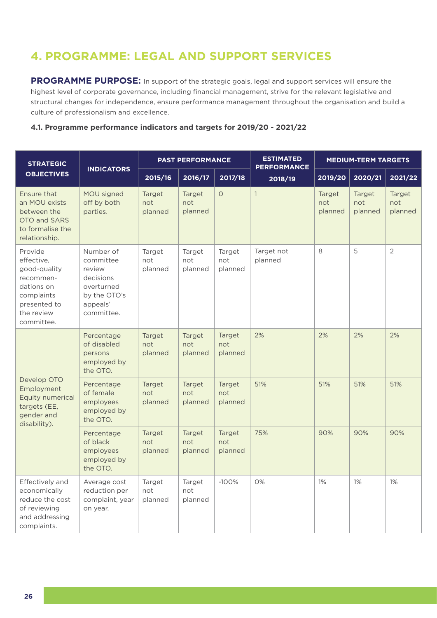### **4. PROGRAMME: LEGAL AND SUPPORT SERVICES**

**PROGRAMME PURPOSE:** In support of the strategic goals, legal and support services will ensure the highest level of corporate governance, including financial management, strive for the relevant legislative and structural changes for independence, ensure performance management throughout the organisation and build a culture of professionalism and excellence.

#### **4.1. Programme performance indicators and targets for 2019/20 - 2021/22**

| <b>STRATEGIC</b>                                                                                                           |                                                                                                       |                          | <b>PAST PERFORMANCE</b>  |                          | <b>ESTIMATED</b><br><b>PERFORMANCE</b> |                          | <b>MEDIUM-TERM TARGETS</b> |                          |
|----------------------------------------------------------------------------------------------------------------------------|-------------------------------------------------------------------------------------------------------|--------------------------|--------------------------|--------------------------|----------------------------------------|--------------------------|----------------------------|--------------------------|
| <b>OBJECTIVES</b>                                                                                                          | <b>INDICATORS</b>                                                                                     | 2015/16                  | 2016/17                  | 2017/18                  | 2018/19                                | 2019/20                  | 2020/21                    | 2021/22                  |
| Ensure that<br>an MOU exists<br>between the<br>OTO and SARS<br>to formalise the<br>relationship.                           | MOU signed<br>off by both<br>parties.                                                                 | Target<br>not<br>planned | Target<br>not<br>planned | $\circ$                  | $\mathbf{1}$                           | Target<br>not<br>planned | Target<br>not<br>planned   | Target<br>not<br>planned |
| Provide<br>effective,<br>good-quality<br>recommen-<br>dations on<br>complaints<br>presented to<br>the review<br>committee. | Number of<br>committee<br>review<br>decisions<br>overturned<br>by the OTO's<br>appeals'<br>committee. | Target<br>not<br>planned | Target<br>not<br>planned | Target<br>not<br>planned | Target not<br>planned                  | 8                        | 5                          | $\overline{2}$           |
|                                                                                                                            | Percentage<br>of disabled<br>persons<br>employed by<br>the OTO.                                       | Target<br>not<br>planned | Target<br>not<br>planned | Target<br>not<br>planned | 2%                                     | 2%                       | 2%                         | 2%                       |
| Develop OTO<br>Employment<br>Equity numerical<br>targets (EE,<br>gender and<br>disability).                                | Percentage<br>of female<br>employees<br>employed by<br>the OTO.                                       | Target<br>not<br>planned | Target<br>not<br>planned | Target<br>not<br>planned | 51%                                    | 51%                      | 51%                        | 51%                      |
|                                                                                                                            | Percentage<br>of black<br>employees<br>employed by<br>the OTO.                                        | Target<br>not<br>planned | Target<br>not<br>planned | Target<br>not<br>planned | 75%                                    | 90%                      | 90%                        | 90%                      |
| Effectively and<br>economically<br>reduce the cost<br>of reviewing<br>and addressing<br>complaints.                        | Average cost<br>reduction per<br>complaint, year<br>on year.                                          | Target<br>not<br>planned | Target<br>not<br>planned | $-100%$                  | 0%                                     | 1%                       | 1%                         | 1%                       |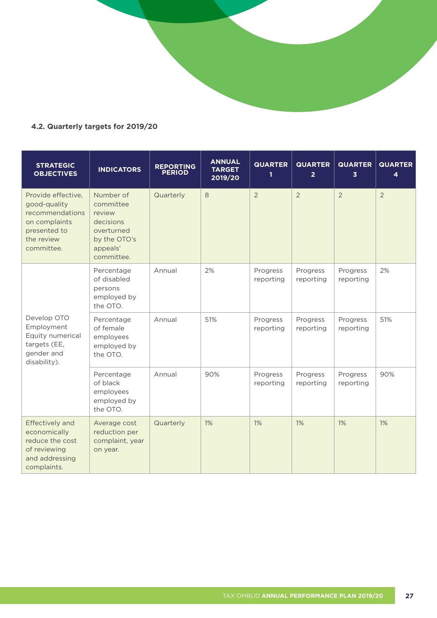

| <b>STRATEGIC</b><br><b>OBJECTIVES</b>                                                                              | <b>INDICATORS</b>                                                                                     | REPORTING<br>PERIOD | <b>ANNUAL</b><br><b>TARGET</b><br>2019/20 | <b>QUARTER</b><br>1   | <b>QUARTER</b><br>$\overline{2}$ | <b>QUARTER</b><br>$\overline{\mathbf{3}}$ | <b>QUARTER</b><br>4 |
|--------------------------------------------------------------------------------------------------------------------|-------------------------------------------------------------------------------------------------------|---------------------|-------------------------------------------|-----------------------|----------------------------------|-------------------------------------------|---------------------|
| Provide effective,<br>good-quality<br>recommendations<br>on complaints<br>presented to<br>the review<br>committee. | Number of<br>committee<br>review<br>decisions<br>overturned<br>by the OTO's<br>appeals'<br>committee. | Quarterly           | 8                                         | $\overline{2}$        | $\overline{2}$                   | $\overline{2}$                            | $\overline{2}$      |
|                                                                                                                    | Percentage<br>of disabled<br>persons<br>employed by<br>the OTO.                                       | Annual              | 2%                                        | Progress<br>reporting | Progress<br>reporting            | Progress<br>reporting                     | 2%                  |
| Develop OTO<br>Employment<br>Equity numerical<br>targets (EE,<br>gender and<br>disability).                        | Percentage<br>of female<br>employees<br>employed by<br>the OTO.                                       | Annual              | 51%                                       | Progress<br>reporting | Progress<br>reporting            | Progress<br>reporting                     | 51%                 |
|                                                                                                                    | Percentage<br>of black<br>employees<br>employed by<br>the OTO.                                        | Annual              | 90%                                       | Progress<br>reporting | Progress<br>reporting            | Progress<br>reporting                     | 90%                 |
| <b>Effectively and</b><br>economically<br>reduce the cost<br>of reviewing<br>and addressing<br>complaints.         | Average cost<br>reduction per<br>complaint, year<br>on year.                                          | Quarterly           | 1%                                        | 1%                    | 1%                               | 1%                                        | 1%                  |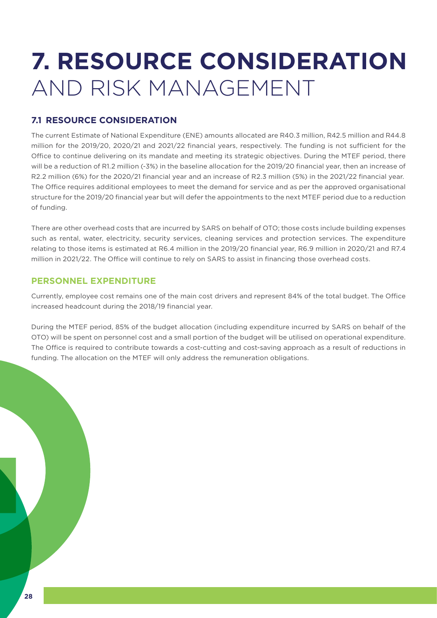## **7. RESOURCE CONSIDERATION** AND RISK MANAGEMENT

### **7.1 RESOURCE CONSIDERATION**

The current Estimate of National Expenditure (ENE) amounts allocated are R40.3 million, R42.5 million and R44.8 million for the 2019/20, 2020/21 and 2021/22 financial years, respectively. The funding is not sufficient for the Office to continue delivering on its mandate and meeting its strategic objectives. During the MTEF period, there will be a reduction of R1.2 million (-3%) in the baseline allocation for the 2019/20 financial year, then an increase of R2.2 million (6%) for the 2020/21 financial year and an increase of R2.3 million (5%) in the 2021/22 financial year. The Office requires additional employees to meet the demand for service and as per the approved organisational structure for the 2019/20 financial year but will defer the appointments to the next MTEF period due to a reduction of funding.

There are other overhead costs that are incurred by SARS on behalf of OTO; those costs include building expenses such as rental, water, electricity, security services, cleaning services and protection services. The expenditure relating to those items is estimated at R6.4 million in the 2019/20 financial year, R6.9 million in 2020/21 and R7.4 million in 2021/22. The Office will continue to rely on SARS to assist in financing those overhead costs.

#### **PERSONNEL EXPENDITURE**

Currently, employee cost remains one of the main cost drivers and represent 84% of the total budget. The Office increased headcount during the 2018/19 financial year.

During the MTEF period, 85% of the budget allocation (including expenditure incurred by SARS on behalf of the OTO) will be spent on personnel cost and a small portion of the budget will be utilised on operational expenditure. The Office is required to contribute towards a cost-cutting and cost-saving approach as a result of reductions in funding. The allocation on the MTEF will only address the remuneration obligations.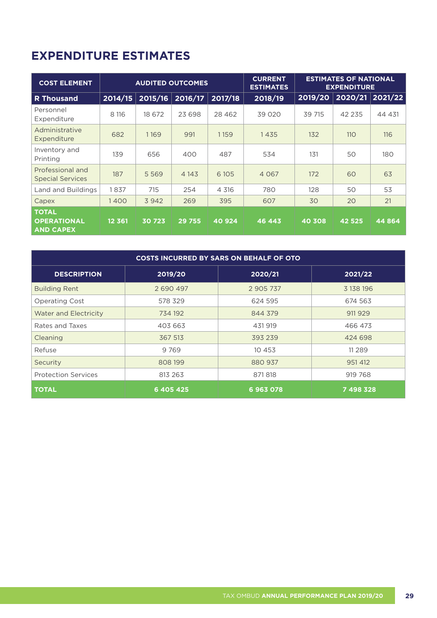### **EXPENDITURE ESTIMATES**

| <b>COST ELEMENT</b>                                    | <b>AUDITED OUTCOMES</b> |         |         | <b>CURRENT</b><br><b>ESTIMATES</b> |         | <b>ESTIMATES OF NATIONAL</b><br><b>EXPENDITURE</b> |                 |        |
|--------------------------------------------------------|-------------------------|---------|---------|------------------------------------|---------|----------------------------------------------------|-----------------|--------|
| <b>R</b> Thousand                                      | 2014/15                 | 2015/16 | 2016/17 | 2017/18                            | 2018/19 | 2019/20                                            | 2020/21 2021/22 |        |
| Personnel<br>Expenditure                               | 8 116                   | 18 672  | 23 698  | 28 4 6 2                           | 39 0 20 | 39 715                                             | 42 235          | 44 431 |
| Administrative<br>Expenditure                          | 682                     | 1169    | 991     | 1159                               | 1435    | 132                                                | 110             | 116    |
| Inventory and<br>Printing                              | 139                     | 656     | 400     | 487                                | 534     | 131                                                | 50              | 180    |
| Professional and<br><b>Special Services</b>            | 187                     | 5 5 6 9 | 4 1 4 3 | 6 1 0 5                            | 4 0 6 7 | 172                                                | 60              | 63     |
| Land and Buildings                                     | 1837                    | 715     | 254     | 4 3 1 6                            | 780     | 128                                                | 50              | 53     |
| Capex                                                  | 1400                    | 3942    | 269     | 395                                | 607     | 30                                                 | 20              | 21     |
| <b>TOTAL</b><br><b>OPERATIONAL</b><br><b>AND CAPEX</b> | 12 3 61                 | 30 723  | 29 755  | 40 924                             | 46 443  | 40 308                                             | 42 525          | 44 864 |

| <b>COSTS INCURRED BY SARS ON BEHALF OF OTO</b> |           |           |           |  |
|------------------------------------------------|-----------|-----------|-----------|--|
| <b>DESCRIPTION</b>                             | 2019/20   | 2020/21   | 2021/22   |  |
| <b>Building Rent</b>                           | 2 690 497 | 2 905 737 | 3 138 196 |  |
| <b>Operating Cost</b>                          | 578 329   | 624 595   | 674 563   |  |
| <b>Water and Electricity</b>                   | 734 192   | 844 379   | 911 929   |  |
| Rates and Taxes                                | 403 663   | 431919    | 466 473   |  |
| Cleaning                                       | 367 513   | 393 239   | 424 698   |  |
| Refuse                                         | 9769      | 10 453    | 11 2 8 9  |  |
| Security                                       | 808 199   | 880 937   | 951 412   |  |
| <b>Protection Services</b>                     | 813 263   | 871818    | 919 768   |  |
| <b>TOTAL</b>                                   | 6405425   | 6963078   | 7 498 328 |  |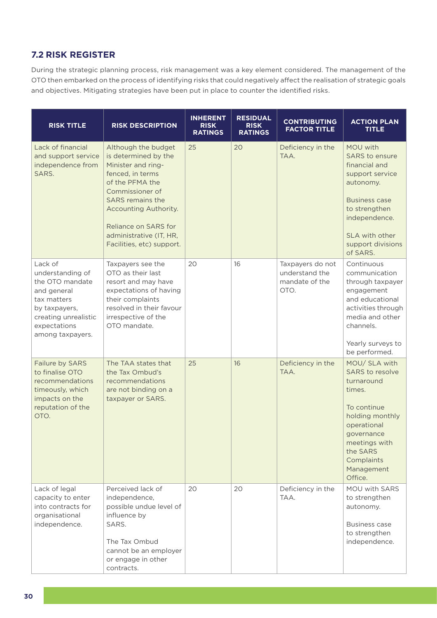#### **7.2 RISK REGISTER**

During the strategic planning process, risk management was a key element considered. The management of the OTO then embarked on the process of identifying risks that could negatively affect the realisation of strategic goals and objectives. Mitigating strategies have been put in place to counter the identified risks.

| <b>RISK TITLE</b>                                                                                                                                         | <b>RISK DESCRIPTION</b>                                                                                                                                                                                                                                         | <b>INHERENT</b><br><b>RISK</b><br><b>RATINGS</b> | <b>RESIDUAL</b><br><b>RISK</b><br><b>RATINGS</b> | <b>CONTRIBUTING</b><br><b>FACTOR TITLE</b>                   | <b>ACTION PLAN</b><br><b>TITLE</b>                                                                                                                                                                 |
|-----------------------------------------------------------------------------------------------------------------------------------------------------------|-----------------------------------------------------------------------------------------------------------------------------------------------------------------------------------------------------------------------------------------------------------------|--------------------------------------------------|--------------------------------------------------|--------------------------------------------------------------|----------------------------------------------------------------------------------------------------------------------------------------------------------------------------------------------------|
| Lack of financial<br>and support service<br>independence from<br>SARS.                                                                                    | Although the budget<br>is determined by the<br>Minister and ring-<br>fenced, in terms<br>of the PFMA the<br>Commissioner of<br><b>SARS</b> remains the<br>Accounting Authority.<br>Reliance on SARS for<br>administrative (IT, HR,<br>Facilities, etc) support. | 25                                               | 20                                               | Deficiency in the<br>TAA.                                    | MOU with<br><b>SARS to ensure</b><br>financial and<br>support service<br>autonomy.<br><b>Business case</b><br>to strengthen<br>independence.<br>SLA with other<br>support divisions<br>of SARS.    |
| Lack of<br>understanding of<br>the OTO mandate<br>and general<br>tax matters<br>by taxpayers,<br>creating unrealistic<br>expectations<br>among taxpayers. | Taxpayers see the<br>OTO as their last<br>resort and may have<br>expectations of having<br>their complaints<br>resolved in their favour<br>irrespective of the<br>OTO mandate.                                                                                  | 20                                               | 16                                               | Taxpayers do not<br>understand the<br>mandate of the<br>OTO. | Continuous<br>communication<br>through taxpayer<br>engagement<br>and educational<br>activities through<br>media and other<br>channels.<br>Yearly surveys to<br>be performed.                       |
| Failure by SARS<br>to finalise OTO<br>recommendations<br>timeously, which<br>impacts on the<br>reputation of the<br>OTO.                                  | The TAA states that<br>the Tax Ombud's<br>recommendations<br>are not binding on a<br>taxpayer or SARS.                                                                                                                                                          | 25                                               | 16                                               | Deficiency in the<br>TAA.                                    | MOU/ SLA with<br><b>SARS to resolve</b><br>turnaround<br>times.<br>To continue<br>holding monthly<br>operational<br>governance<br>meetings with<br>the SARS<br>Complaints<br>Management<br>Office. |
| Lack of legal<br>capacity to enter<br>into contracts for<br>organisational<br>independence.                                                               | Perceived lack of<br>independence,<br>possible undue level of<br>influence by<br>SARS.<br>The Tax Ombud<br>cannot be an employer<br>or engage in other<br>contracts.                                                                                            | 20                                               | 20                                               | Deficiency in the<br>TAA.                                    | MOU with SARS<br>to strengthen<br>autonomy.<br>Business case<br>to strengthen<br>independence.                                                                                                     |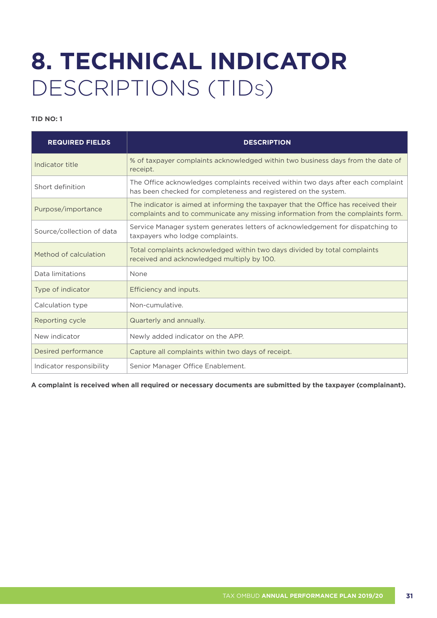## **8. TECHNICAL INDICATOR**  DESCRIPTIONS (TIDS)

#### **TID NO: 1**

| <b>REQUIRED FIELDS</b>    | <b>DESCRIPTION</b>                                                                                                                                                     |
|---------------------------|------------------------------------------------------------------------------------------------------------------------------------------------------------------------|
| Indicator title           | % of taxpayer complaints acknowledged within two business days from the date of<br>receipt.                                                                            |
| Short definition          | The Office acknowledges complaints received within two days after each complaint<br>has been checked for completeness and registered on the system.                    |
| Purpose/importance        | The indicator is aimed at informing the taxpayer that the Office has received their<br>complaints and to communicate any missing information from the complaints form. |
| Source/collection of data | Service Manager system generates letters of acknowledgement for dispatching to<br>taxpayers who lodge complaints.                                                      |
| Method of calculation     | Total complaints acknowledged within two days divided by total complaints<br>received and acknowledged multiply by 100.                                                |
| Data limitations          | None                                                                                                                                                                   |
| Type of indicator         | Efficiency and inputs.                                                                                                                                                 |
| Calculation type          | Non-cumulative.                                                                                                                                                        |
| Reporting cycle           | Quarterly and annually.                                                                                                                                                |
| New indicator             | Newly added indicator on the APP.                                                                                                                                      |
| Desired performance       | Capture all complaints within two days of receipt.                                                                                                                     |
| Indicator responsibility  | Senior Manager Office Enablement.                                                                                                                                      |

**A complaint is received when all required or necessary documents are submitted by the taxpayer (complainant).**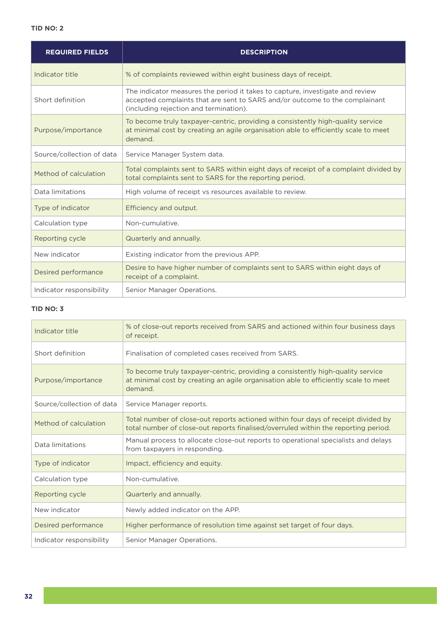| <b>REQUIRED FIELDS</b>    | <b>DESCRIPTION</b>                                                                                                                                                                                     |
|---------------------------|--------------------------------------------------------------------------------------------------------------------------------------------------------------------------------------------------------|
| Indicator title           | % of complaints reviewed within eight business days of receipt.                                                                                                                                        |
| Short definition          | The indicator measures the period it takes to capture, investigate and review<br>accepted complaints that are sent to SARS and/or outcome to the complainant<br>(including rejection and termination). |
| Purpose/importance        | To become truly taxpayer-centric, providing a consistently high-quality service<br>at minimal cost by creating an agile organisation able to efficiently scale to meet<br>demand.                      |
| Source/collection of data | Service Manager System data.                                                                                                                                                                           |
| Method of calculation     | Total complaints sent to SARS within eight days of receipt of a complaint divided by<br>total complaints sent to SARS for the reporting period.                                                        |
| Data limitations          | High volume of receipt vs resources available to review.                                                                                                                                               |
| Type of indicator         | Efficiency and output.                                                                                                                                                                                 |
| Calculation type          | Non-cumulative.                                                                                                                                                                                        |
| Reporting cycle           | Quarterly and annually.                                                                                                                                                                                |
| New indicator             | Existing indicator from the previous APP.                                                                                                                                                              |
| Desired performance       | Desire to have higher number of complaints sent to SARS within eight days of<br>receipt of a complaint.                                                                                                |
| Indicator responsibility  | Senior Manager Operations.                                                                                                                                                                             |

| Indicator title           | % of close-out reports received from SARS and actioned within four business days<br>of receipt.                                                                                   |
|---------------------------|-----------------------------------------------------------------------------------------------------------------------------------------------------------------------------------|
| Short definition          | Finalisation of completed cases received from SARS.                                                                                                                               |
| Purpose/importance        | To become truly taxpayer-centric, providing a consistently high-quality service<br>at minimal cost by creating an agile organisation able to efficiently scale to meet<br>demand. |
| Source/collection of data | Service Manager reports.                                                                                                                                                          |
| Method of calculation     | Total number of close-out reports actioned within four days of receipt divided by<br>total number of close-out reports finalised/overruled within the reporting period.           |
| Data limitations          | Manual process to allocate close-out reports to operational specialists and delays<br>from taxpayers in responding.                                                               |
| Type of indicator         | Impact, efficiency and equity.                                                                                                                                                    |
| Calculation type          | Non-cumulative.                                                                                                                                                                   |
| Reporting cycle           | Quarterly and annually.                                                                                                                                                           |
| New indicator             | Newly added indicator on the APP.                                                                                                                                                 |
| Desired performance       | Higher performance of resolution time against set target of four days.                                                                                                            |
| Indicator responsibility  | Senior Manager Operations.                                                                                                                                                        |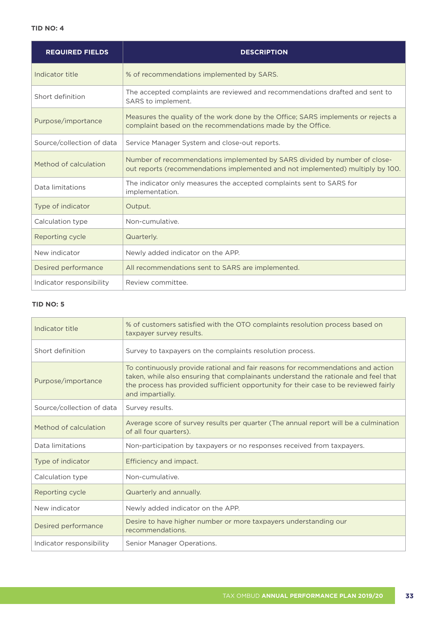| <b>REQUIRED FIELDS</b>     | <b>DESCRIPTION</b>                                                                                                                                          |
|----------------------------|-------------------------------------------------------------------------------------------------------------------------------------------------------------|
| Indicator title            | % of recommendations implemented by SARS.                                                                                                                   |
| Short definition           | The accepted complaints are reviewed and recommendations drafted and sent to<br>SARS to implement.                                                          |
| Purpose/importance         | Measures the quality of the work done by the Office; SARS implements or rejects a<br>complaint based on the recommendations made by the Office.             |
| Source/collection of data  | Service Manager System and close-out reports.                                                                                                               |
| Method of calculation      | Number of recommendations implemented by SARS divided by number of close-<br>out reports (recommendations implemented and not implemented) multiply by 100. |
| Data limitations           | The indicator only measures the accepted complaints sent to SARS for<br>implementation.                                                                     |
| Type of indicator          | Output.                                                                                                                                                     |
| Calculation type           | Non-cumulative.                                                                                                                                             |
| Reporting cycle            | Quarterly.                                                                                                                                                  |
| New indicator              | Newly added indicator on the APP.                                                                                                                           |
| <b>Desired performance</b> | All recommendations sent to SARS are implemented.                                                                                                           |
| Indicator responsibility   | Review committee.                                                                                                                                           |

| Indicator title           | % of customers satisfied with the OTO complaints resolution process based on<br>taxpayer survey results.                                                                                                                                                                            |
|---------------------------|-------------------------------------------------------------------------------------------------------------------------------------------------------------------------------------------------------------------------------------------------------------------------------------|
| Short definition          | Survey to taxpayers on the complaints resolution process.                                                                                                                                                                                                                           |
| Purpose/importance        | To continuously provide rational and fair reasons for recommendations and action<br>taken, while also ensuring that complainants understand the rationale and feel that<br>the process has provided sufficient opportunity for their case to be reviewed fairly<br>and impartially. |
| Source/collection of data | Survey results.                                                                                                                                                                                                                                                                     |
| Method of calculation     | Average score of survey results per quarter (The annual report will be a culmination<br>of all four quarters).                                                                                                                                                                      |
| Data limitations          | Non-participation by taxpayers or no responses received from taxpayers.                                                                                                                                                                                                             |
| Type of indicator         | Efficiency and impact.                                                                                                                                                                                                                                                              |
| Calculation type          | Non-cumulative.                                                                                                                                                                                                                                                                     |
| Reporting cycle           | Quarterly and annually.                                                                                                                                                                                                                                                             |
| New indicator             | Newly added indicator on the APP.                                                                                                                                                                                                                                                   |
| Desired performance       | Desire to have higher number or more taxpayers understanding our<br>recommendations.                                                                                                                                                                                                |
| Indicator responsibility  | Senior Manager Operations.                                                                                                                                                                                                                                                          |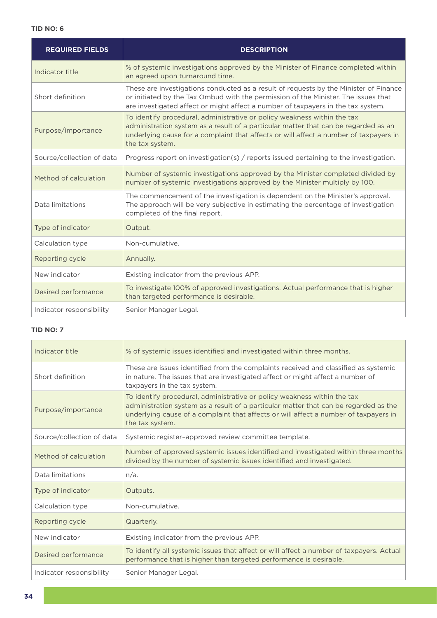| <b>REQUIRED FIELDS</b>    | <b>DESCRIPTION</b>                                                                                                                                                                                                                                                          |
|---------------------------|-----------------------------------------------------------------------------------------------------------------------------------------------------------------------------------------------------------------------------------------------------------------------------|
| Indicator title           | % of systemic investigations approved by the Minister of Finance completed within<br>an agreed upon turnaround time.                                                                                                                                                        |
| Short definition          | These are investigations conducted as a result of requests by the Minister of Finance<br>or initiated by the Tax Ombud with the permission of the Minister. The issues that<br>are investigated affect or might affect a number of taxpayers in the tax system.             |
| Purpose/importance        | To identify procedural, administrative or policy weakness within the tax<br>administration system as a result of a particular matter that can be regarded as an<br>underlying cause for a complaint that affects or will affect a number of taxpayers in<br>the tax system. |
| Source/collection of data | Progress report on investigation(s) / reports issued pertaining to the investigation.                                                                                                                                                                                       |
| Method of calculation     | Number of systemic investigations approved by the Minister completed divided by<br>number of systemic investigations approved by the Minister multiply by 100.                                                                                                              |
| Data limitations          | The commencement of the investigation is dependent on the Minister's approval.<br>The approach will be very subjective in estimating the percentage of investigation<br>completed of the final report.                                                                      |
| Type of indicator         | Output.                                                                                                                                                                                                                                                                     |
| Calculation type          | Non-cumulative.                                                                                                                                                                                                                                                             |
| Reporting cycle           | Annually.                                                                                                                                                                                                                                                                   |
| New indicator             | Existing indicator from the previous APP.                                                                                                                                                                                                                                   |
| Desired performance       | To investigate 100% of approved investigations. Actual performance that is higher<br>than targeted performance is desirable.                                                                                                                                                |
| Indicator responsibility  | Senior Manager Legal.                                                                                                                                                                                                                                                       |

| Indicator title           | % of systemic issues identified and investigated within three months.                                                                                                                                                                                                       |
|---------------------------|-----------------------------------------------------------------------------------------------------------------------------------------------------------------------------------------------------------------------------------------------------------------------------|
| Short definition          | These are issues identified from the complaints received and classified as systemic<br>in nature. The issues that are investigated affect or might affect a number of<br>taxpayers in the tax system.                                                                       |
| Purpose/importance        | To identify procedural, administrative or policy weakness within the tax<br>administration system as a result of a particular matter that can be regarded as the<br>underlying cause of a complaint that affects or will affect a number of taxpayers in<br>the tax system. |
| Source/collection of data | Systemic register-approved review committee template.                                                                                                                                                                                                                       |
| Method of calculation     | Number of approved systemic issues identified and investigated within three months<br>divided by the number of systemic issues identified and investigated.                                                                                                                 |
| Data limitations          | $n/a$ .                                                                                                                                                                                                                                                                     |
| Type of indicator         | Outputs.                                                                                                                                                                                                                                                                    |
| Calculation type          | Non-cumulative.                                                                                                                                                                                                                                                             |
| Reporting cycle           | Quarterly.                                                                                                                                                                                                                                                                  |
| New indicator             | Existing indicator from the previous APP.                                                                                                                                                                                                                                   |
| Desired performance       | To identify all systemic issues that affect or will affect a number of taxpayers. Actual<br>performance that is higher than targeted performance is desirable.                                                                                                              |
| Indicator responsibility  | Senior Manager Legal.                                                                                                                                                                                                                                                       |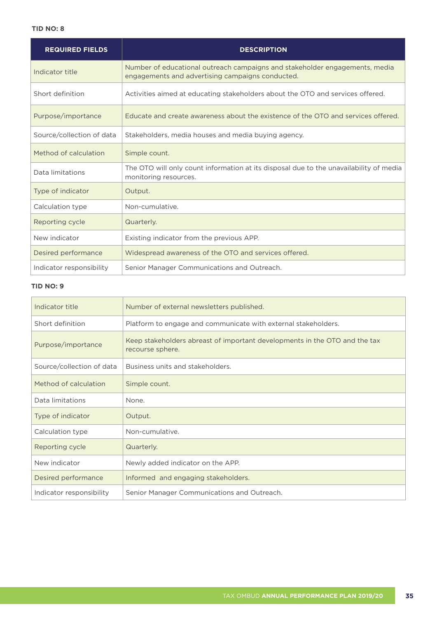| <b>REQUIRED FIELDS</b>    | <b>DESCRIPTION</b>                                                                                                              |
|---------------------------|---------------------------------------------------------------------------------------------------------------------------------|
| Indicator title           | Number of educational outreach campaigns and stakeholder engagements, media<br>engagements and advertising campaigns conducted. |
| Short definition          | Activities aimed at educating stakeholders about the OTO and services offered.                                                  |
| Purpose/importance        | Educate and create awareness about the existence of the OTO and services offered.                                               |
| Source/collection of data | Stakeholders, media houses and media buying agency.                                                                             |
| Method of calculation     | Simple count.                                                                                                                   |
| Data limitations          | The OTO will only count information at its disposal due to the unavailability of media<br>monitoring resources.                 |
| Type of indicator         | Output.                                                                                                                         |
| Calculation type          | Non-cumulative.                                                                                                                 |
| Reporting cycle           | Quarterly.                                                                                                                      |
| New indicator             | Existing indicator from the previous APP.                                                                                       |
| Desired performance       | Widespread awareness of the OTO and services offered.                                                                           |
| Indicator responsibility  | Senior Manager Communications and Outreach.                                                                                     |

| Indicator title            | Number of external newsletters published.                                                      |  |  |  |
|----------------------------|------------------------------------------------------------------------------------------------|--|--|--|
| Short definition           | Platform to engage and communicate with external stakeholders.                                 |  |  |  |
| Purpose/importance         | Keep stakeholders abreast of important developments in the OTO and the tax<br>recourse sphere. |  |  |  |
| Source/collection of data  | Business units and stakeholders.                                                               |  |  |  |
| Method of calculation      | Simple count.                                                                                  |  |  |  |
| Data limitations           | None.                                                                                          |  |  |  |
| Type of indicator          | Output.                                                                                        |  |  |  |
| Calculation type           | Non-cumulative.                                                                                |  |  |  |
| Reporting cycle            | Quarterly.                                                                                     |  |  |  |
| New indicator              | Newly added indicator on the APP.                                                              |  |  |  |
| <b>Desired performance</b> | Informed and engaging stakeholders.                                                            |  |  |  |
| Indicator responsibility   | Senior Manager Communications and Outreach.                                                    |  |  |  |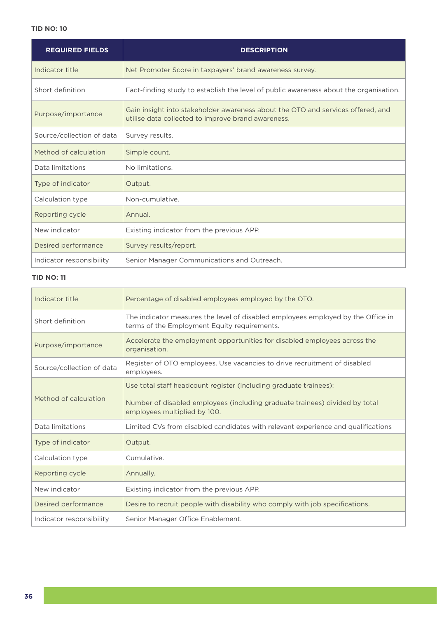| <b>REQUIRED FIELDS</b>    | <b>DESCRIPTION</b>                                                                                                                    |
|---------------------------|---------------------------------------------------------------------------------------------------------------------------------------|
| Indicator title           | Net Promoter Score in taxpayers' brand awareness survey.                                                                              |
| Short definition          | Fact-finding study to establish the level of public awareness about the organisation.                                                 |
| Purpose/importance        | Gain insight into stakeholder awareness about the OTO and services offered, and<br>utilise data collected to improve brand awareness. |
| Source/collection of data | Survey results.                                                                                                                       |
| Method of calculation     | Simple count.                                                                                                                         |
| Data limitations          | No limitations.                                                                                                                       |
| Type of indicator         | Output.                                                                                                                               |
| Calculation type          | Non-cumulative.                                                                                                                       |
| Reporting cycle           | Annual.                                                                                                                               |
| New indicator             | Existing indicator from the previous APP.                                                                                             |
| Desired performance       | Survey results/report.                                                                                                                |
| Indicator responsibility  | Senior Manager Communications and Outreach.                                                                                           |

| Indicator title           | Percentage of disabled employees employed by the OTO.                                                                                                                            |  |  |
|---------------------------|----------------------------------------------------------------------------------------------------------------------------------------------------------------------------------|--|--|
| Short definition          | The indicator measures the level of disabled employees employed by the Office in<br>terms of the Employment Equity requirements.                                                 |  |  |
| Purpose/importance        | Accelerate the employment opportunities for disabled employees across the<br>organisation.                                                                                       |  |  |
| Source/collection of data | Register of OTO employees. Use vacancies to drive recruitment of disabled<br>employees.                                                                                          |  |  |
| Method of calculation     | Use total staff headcount register (including graduate trainees):<br>Number of disabled employees (including graduate trainees) divided by total<br>employees multiplied by 100. |  |  |
| Data limitations          | Limited CVs from disabled candidates with relevant experience and qualifications                                                                                                 |  |  |
| Type of indicator         | Output.                                                                                                                                                                          |  |  |
| Calculation type          | Cumulative.                                                                                                                                                                      |  |  |
| Reporting cycle           | Annually.                                                                                                                                                                        |  |  |
| New indicator             | Existing indicator from the previous APP.                                                                                                                                        |  |  |
| Desired performance       | Desire to recruit people with disability who comply with job specifications.                                                                                                     |  |  |
| Indicator responsibility  | Senior Manager Office Enablement.                                                                                                                                                |  |  |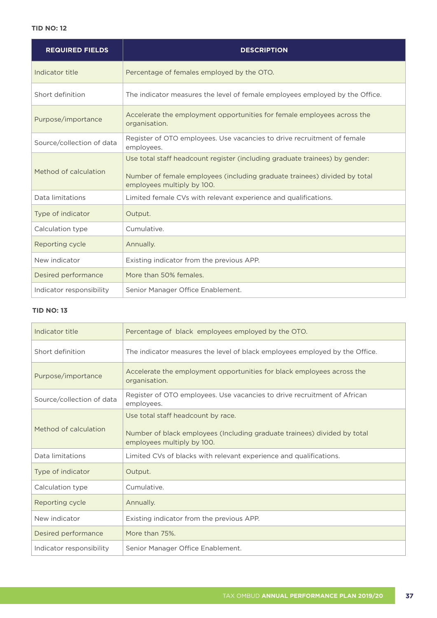| <b>REQUIRED FIELDS</b>     | <b>DESCRIPTION</b>                                                                                                                                                                     |  |
|----------------------------|----------------------------------------------------------------------------------------------------------------------------------------------------------------------------------------|--|
| Indicator title            | Percentage of females employed by the OTO.                                                                                                                                             |  |
| Short definition           | The indicator measures the level of female employees employed by the Office.                                                                                                           |  |
| Purpose/importance         | Accelerate the employment opportunities for female employees across the<br>organisation.                                                                                               |  |
| Source/collection of data  | Register of OTO employees. Use vacancies to drive recruitment of female<br>employees.                                                                                                  |  |
| Method of calculation      | Use total staff headcount register (including graduate trainees) by gender:<br>Number of female employees (including graduate trainees) divided by total<br>employees multiply by 100. |  |
| Data limitations           | Limited female CVs with relevant experience and qualifications.                                                                                                                        |  |
| Type of indicator          | Output.                                                                                                                                                                                |  |
| Calculation type           | Cumulative.                                                                                                                                                                            |  |
| Reporting cycle            | Annually.                                                                                                                                                                              |  |
| New indicator              | Existing indicator from the previous APP.                                                                                                                                              |  |
| <b>Desired performance</b> | More than 50% females.                                                                                                                                                                 |  |
| Indicator responsibility   | Senior Manager Office Enablement.                                                                                                                                                      |  |

| Indicator title            | Percentage of black employees employed by the OTO.                                                                                           |  |  |  |
|----------------------------|----------------------------------------------------------------------------------------------------------------------------------------------|--|--|--|
| Short definition           | The indicator measures the level of black employees employed by the Office.                                                                  |  |  |  |
| Purpose/importance         | Accelerate the employment opportunities for black employees across the<br>organisation.                                                      |  |  |  |
| Source/collection of data  | Register of OTO employees. Use vacancies to drive recruitment of African<br>employees.                                                       |  |  |  |
| Method of calculation      | Use total staff headcount by race.<br>Number of black employees (Including graduate trainees) divided by total<br>employees multiply by 100. |  |  |  |
| Data limitations           | Limited CVs of blacks with relevant experience and qualifications.                                                                           |  |  |  |
| Type of indicator          | Output.                                                                                                                                      |  |  |  |
| Calculation type           | Cumulative.                                                                                                                                  |  |  |  |
| Reporting cycle            | Annually.                                                                                                                                    |  |  |  |
| New indicator              | Existing indicator from the previous APP.                                                                                                    |  |  |  |
| <b>Desired performance</b> | More than 75%.                                                                                                                               |  |  |  |
| Indicator responsibility   | Senior Manager Office Enablement.                                                                                                            |  |  |  |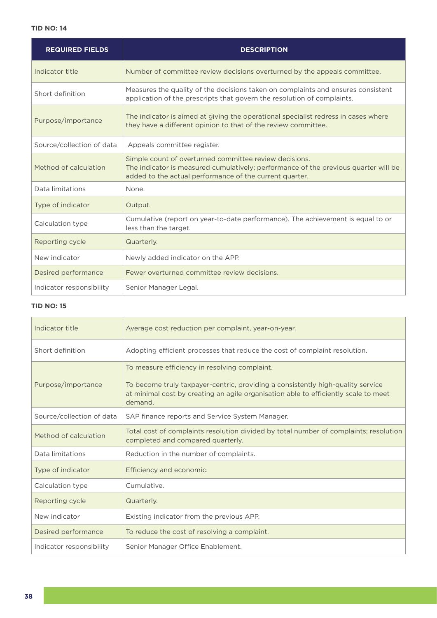| <b>REQUIRED FIELDS</b>    | <b>DESCRIPTION</b>                                                                                                                                                                                       |
|---------------------------|----------------------------------------------------------------------------------------------------------------------------------------------------------------------------------------------------------|
| Indicator title           | Number of committee review decisions overturned by the appeals committee.                                                                                                                                |
| Short definition          | Measures the quality of the decisions taken on complaints and ensures consistent<br>application of the prescripts that govern the resolution of complaints.                                              |
| Purpose/importance        | The indicator is aimed at giving the operational specialist redress in cases where<br>they have a different opinion to that of the review committee.                                                     |
| Source/collection of data | Appeals committee register.                                                                                                                                                                              |
| Method of calculation     | Simple count of overturned committee review decisions.<br>The indicator is measured cumulatively; performance of the previous quarter will be<br>added to the actual performance of the current quarter. |
| Data limitations          | None.                                                                                                                                                                                                    |
| Type of indicator         | Output.                                                                                                                                                                                                  |
| Calculation type          | Cumulative (report on year-to-date performance). The achievement is equal to or<br>less than the target.                                                                                                 |
| Reporting cycle           | Quarterly.                                                                                                                                                                                               |
| New indicator             | Newly added indicator on the APP.                                                                                                                                                                        |
| Desired performance       | Fewer overturned committee review decisions.                                                                                                                                                             |
| Indicator responsibility  | Senior Manager Legal.                                                                                                                                                                                    |

| Indicator title           | Average cost reduction per complaint, year-on-year.                                                                                                                                                                                |  |  |
|---------------------------|------------------------------------------------------------------------------------------------------------------------------------------------------------------------------------------------------------------------------------|--|--|
| Short definition          | Adopting efficient processes that reduce the cost of complaint resolution.                                                                                                                                                         |  |  |
| Purpose/importance        | To measure efficiency in resolving complaint.<br>To become truly taxpayer-centric, providing a consistently high-quality service<br>at minimal cost by creating an agile organisation able to efficiently scale to meet<br>demand. |  |  |
| Source/collection of data | SAP finance reports and Service System Manager.                                                                                                                                                                                    |  |  |
| Method of calculation     | Total cost of complaints resolution divided by total number of complaints; resolution<br>completed and compared quarterly.                                                                                                         |  |  |
| Data limitations          | Reduction in the number of complaints.                                                                                                                                                                                             |  |  |
| Type of indicator         | Efficiency and economic.                                                                                                                                                                                                           |  |  |
| Calculation type          | Cumulative.                                                                                                                                                                                                                        |  |  |
| Reporting cycle           | Quarterly.                                                                                                                                                                                                                         |  |  |
| New indicator             | Existing indicator from the previous APP.                                                                                                                                                                                          |  |  |
| Desired performance       | To reduce the cost of resolving a complaint.                                                                                                                                                                                       |  |  |
| Indicator responsibility  | Senior Manager Office Enablement.                                                                                                                                                                                                  |  |  |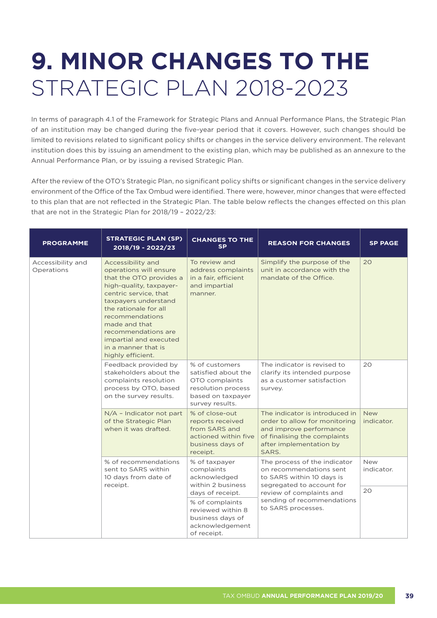## **9. MINOR CHANGES TO THE**  STRATEGIC PLAN 2018-2023

In terms of paragraph 4.1 of the Framework for Strategic Plans and Annual Performance Plans, the Strategic Plan of an institution may be changed during the five-year period that it covers. However, such changes should be limited to revisions related to significant policy shifts or changes in the service delivery environment. The relevant institution does this by issuing an amendment to the existing plan, which may be published as an annexure to the Annual Performance Plan, or by issuing a revised Strategic Plan.

After the review of the OTO's Strategic Plan, no significant policy shifts or significant changes in the service delivery environment of the Office of the Tax Ombud were identified. There were, however, minor changes that were effected to this plan that are not reflected in the Strategic Plan. The table below reflects the changes effected on this plan that are not in the Strategic Plan for 2018/19 – 2022/23:

| <b>PROGRAMME</b>                | <b>STRATEGIC PLAN (SP)</b><br>2018/19 - 2022/23                                                                                                                                                                                                                                                              | <b>CHANGES TO THE</b><br><b>SP</b>                                                                                    | <b>REASON FOR CHANGES</b>                                                                                                                                      | <b>SP PAGE</b>           |
|---------------------------------|--------------------------------------------------------------------------------------------------------------------------------------------------------------------------------------------------------------------------------------------------------------------------------------------------------------|-----------------------------------------------------------------------------------------------------------------------|----------------------------------------------------------------------------------------------------------------------------------------------------------------|--------------------------|
| Accessibility and<br>Operations | Accessibility and<br>operations will ensure<br>that the OTO provides a<br>high-quality, taxpayer-<br>centric service, that<br>taxpayers understand<br>the rationale for all<br>recommendations<br>made and that<br>recommendations are<br>impartial and executed<br>in a manner that is<br>highly efficient. | To review and<br>address complaints<br>in a fair, efficient<br>and impartial<br>manner.                               | Simplify the purpose of the<br>unit in accordance with the<br>mandate of the Office.                                                                           | 20                       |
|                                 | Feedback provided by<br>stakeholders about the<br>complaints resolution<br>process by OTO, based<br>on the survey results.                                                                                                                                                                                   | % of customers<br>satisfied about the<br>OTO complaints<br>resolution process<br>based on taxpayer<br>survey results. | The indicator is revised to<br>clarify its intended purpose<br>as a customer satisfaction<br>survey.                                                           | 20                       |
|                                 | N/A - Indicator not part<br>of the Strategic Plan<br>when it was drafted.                                                                                                                                                                                                                                    | % of close-out<br>reports received<br>from SARS and<br>actioned within five<br>business days of<br>receipt.           | The indicator is introduced in<br>order to allow for monitoring<br>and improve performance<br>of finalising the complaints<br>after implementation by<br>SARS. | <b>New</b><br>indicator. |
|                                 | % of recommendations<br>sent to SARS within<br>10 days from date of<br>receipt.                                                                                                                                                                                                                              | % of taxpayer<br>complaints<br>acknowledged<br>within 2 business                                                      | The process of the indicator<br>on recommendations sent<br>to SARS within 10 days is<br>segregated to account for                                              | <b>New</b><br>indicator. |
|                                 |                                                                                                                                                                                                                                                                                                              | days of receipt.                                                                                                      | review of complaints and<br>sending of recommendations<br>to SARS processes.                                                                                   | 20                       |
|                                 |                                                                                                                                                                                                                                                                                                              | % of complaints<br>reviewed within 8<br>business days of<br>acknowledgement<br>of receipt.                            |                                                                                                                                                                |                          |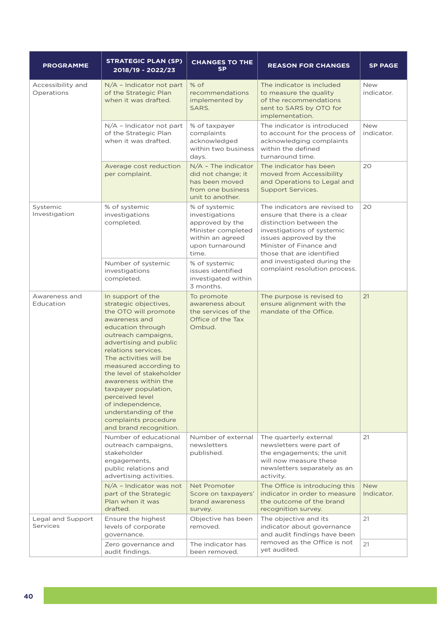| <b>PROGRAMME</b>                     | <b>STRATEGIC PLAN (SP)</b><br>2018/19 - 2022/23                                                                                                                                                                                                                                                                                                                                                                                  | <b>CHANGES TO THE</b><br><b>SP</b>                                                                                       | <b>REASON FOR CHANGES</b>                                                                                                                                                                                | <b>SP PAGE</b>           |
|--------------------------------------|----------------------------------------------------------------------------------------------------------------------------------------------------------------------------------------------------------------------------------------------------------------------------------------------------------------------------------------------------------------------------------------------------------------------------------|--------------------------------------------------------------------------------------------------------------------------|----------------------------------------------------------------------------------------------------------------------------------------------------------------------------------------------------------|--------------------------|
| Accessibility and<br>Operations      | $N/A$ - Indicator not part<br>of the Strategic Plan<br>when it was drafted.                                                                                                                                                                                                                                                                                                                                                      | % of<br>recommendations<br>implemented by<br>SARS.                                                                       | The indicator is included<br>to measure the quality<br>of the recommendations<br>sent to SARS by OTO for<br>implementation.                                                                              | <b>New</b><br>indicator. |
|                                      | N/A - Indicator not part<br>of the Strategic Plan<br>when it was drafted.                                                                                                                                                                                                                                                                                                                                                        | % of taxpayer<br>complaints<br>acknowledged<br>within two business<br>days.                                              | The indicator is introduced<br>to account for the process of<br>acknowledging complaints<br>within the defined<br>turnaround time.                                                                       | <b>New</b><br>indicator. |
|                                      | Average cost reduction<br>per complaint.                                                                                                                                                                                                                                                                                                                                                                                         | $N/A$ - The indicator<br>did not change; it<br>has been moved<br>from one business<br>unit to another.                   | The indicator has been<br>moved from Accessibility<br>and Operations to Legal and<br>Support Services.                                                                                                   | 20                       |
| Systemic<br>Investigation            | % of systemic<br>investigations<br>completed.                                                                                                                                                                                                                                                                                                                                                                                    | % of systemic<br>investigations<br>approved by the<br>Minister completed<br>within an agreed<br>upon turnaround<br>time. | The indicators are revised to<br>ensure that there is a clear<br>distinction between the<br>investigations of systemic<br>issues approved by the<br>Minister of Finance and<br>those that are identified | 20                       |
|                                      | Number of systemic<br>investigations<br>completed.                                                                                                                                                                                                                                                                                                                                                                               | % of systemic<br>issues identified<br>investigated within<br>3 months.                                                   | and investigated during the<br>complaint resolution process.                                                                                                                                             |                          |
| Awareness and<br>Education           | In support of the<br>strategic objectives,<br>the OTO will promote<br>awareness and<br>education through<br>outreach campaigns,<br>advertising and public<br>relations services.<br>The activities will be<br>measured according to<br>the level of stakeholder<br>awareness within the<br>taxpayer population,<br>perceived level<br>of independence,<br>understanding of the<br>complaints procedure<br>and brand recognition. | To promote<br>awareness about<br>the services of the<br>Office of the Tax<br>Ombud.                                      | The purpose is revised to<br>ensure alignment with the<br>mandate of the Office.                                                                                                                         | 21                       |
|                                      | Number of educational<br>outreach campaigns,<br>stakeholder<br>engagements,<br>public relations and<br>advertising activities.                                                                                                                                                                                                                                                                                                   | Number of external<br>newsletters<br>published.                                                                          | The quarterly external<br>newsletters were part of<br>the engagements; the unit<br>will now measure these<br>newsletters separately as an<br>activity.                                                   | 21                       |
|                                      | N/A - Indicator was not<br>part of the Strategic<br>Plan when it was<br>drafted.                                                                                                                                                                                                                                                                                                                                                 | <b>Net Promoter</b><br>Score on taxpayers'<br>brand awareness<br>survey.                                                 | The Office is introducing this<br>indicator in order to measure<br>the outcome of the brand<br>recognition survey.                                                                                       | <b>New</b><br>Indicator. |
| Legal and Support<br><b>Services</b> | Ensure the highest<br>levels of corporate<br>governance.                                                                                                                                                                                                                                                                                                                                                                         | Objective has been<br>removed.                                                                                           | The objective and its<br>indicator about governance<br>and audit findings have been                                                                                                                      | 21                       |
|                                      | Zero governance and<br>audit findings.                                                                                                                                                                                                                                                                                                                                                                                           | The indicator has<br>been removed.                                                                                       | removed as the Office is not<br>yet audited.                                                                                                                                                             | 21                       |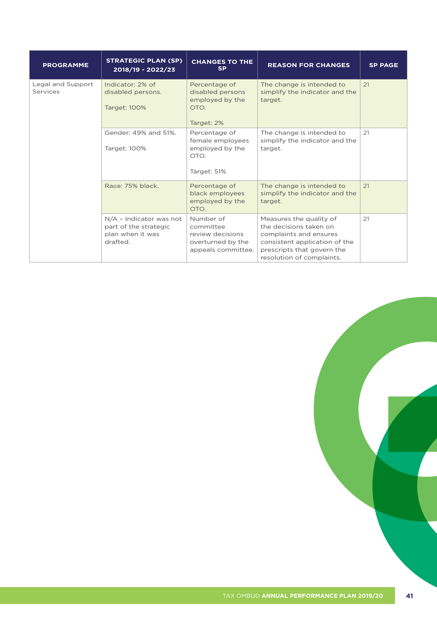| <b>PROGRAMME</b>              | <b>STRATEGIC PLAN (SP)</b><br>2018/19 - 2022/23                                    | <b>CHANGES TO THE</b><br><b>SP</b>                                                    | <b>REASON FOR CHANGES</b>                                                                                                                                               | <b>SP PAGE</b> |
|-------------------------------|------------------------------------------------------------------------------------|---------------------------------------------------------------------------------------|-------------------------------------------------------------------------------------------------------------------------------------------------------------------------|----------------|
| Legal and Support<br>Services | Indicator: 2% of<br>disabled persons.<br><b>Target: 100%</b>                       | Percentage of<br>disabled persons<br>employed by the<br>OTO.<br>Target: 2%            | The change is intended to<br>simplify the indicator and the<br>target.                                                                                                  | 21             |
|                               | Gender: 49% and 51%.<br>Target: 100%                                               | Percentage of<br>female employees<br>employed by the<br>OTO.<br>Target: 51%           | The change is intended to<br>simplify the indicator and the<br>target.                                                                                                  | 21             |
|                               | Race: 75% black.                                                                   | Percentage of<br>black employees<br>employed by the<br>OTO.                           | The change is intended to<br>simplify the indicator and the<br>target.                                                                                                  | 21             |
|                               | $N/A$ - Indicator was not<br>part of the strategic<br>plan when it was<br>drafted. | Number of<br>committee<br>review decisions<br>overturned by the<br>appeals committee. | Measures the quality of<br>the decisions taken on<br>complaints and ensures<br>consistent application of the<br>prescripts that govern the<br>resolution of complaints. | 21             |

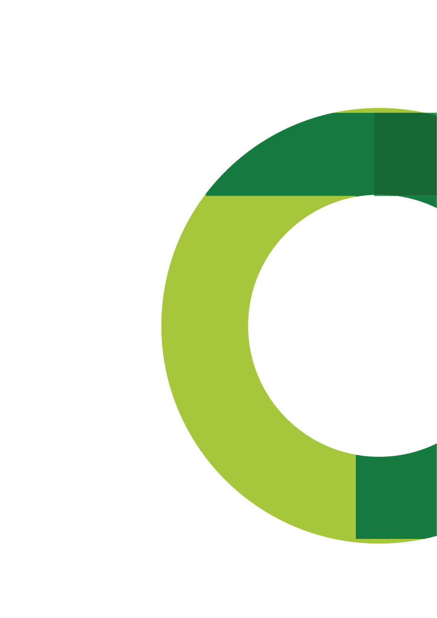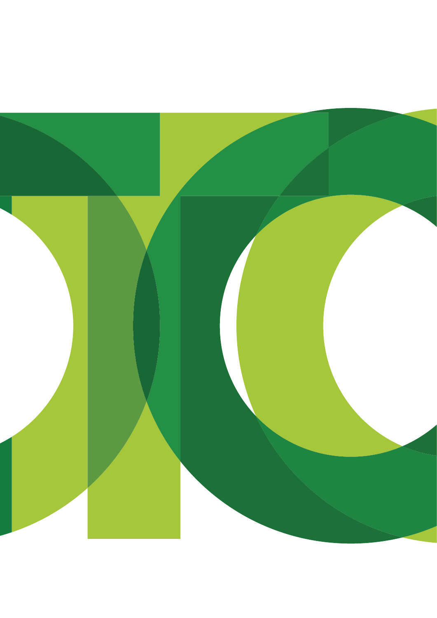